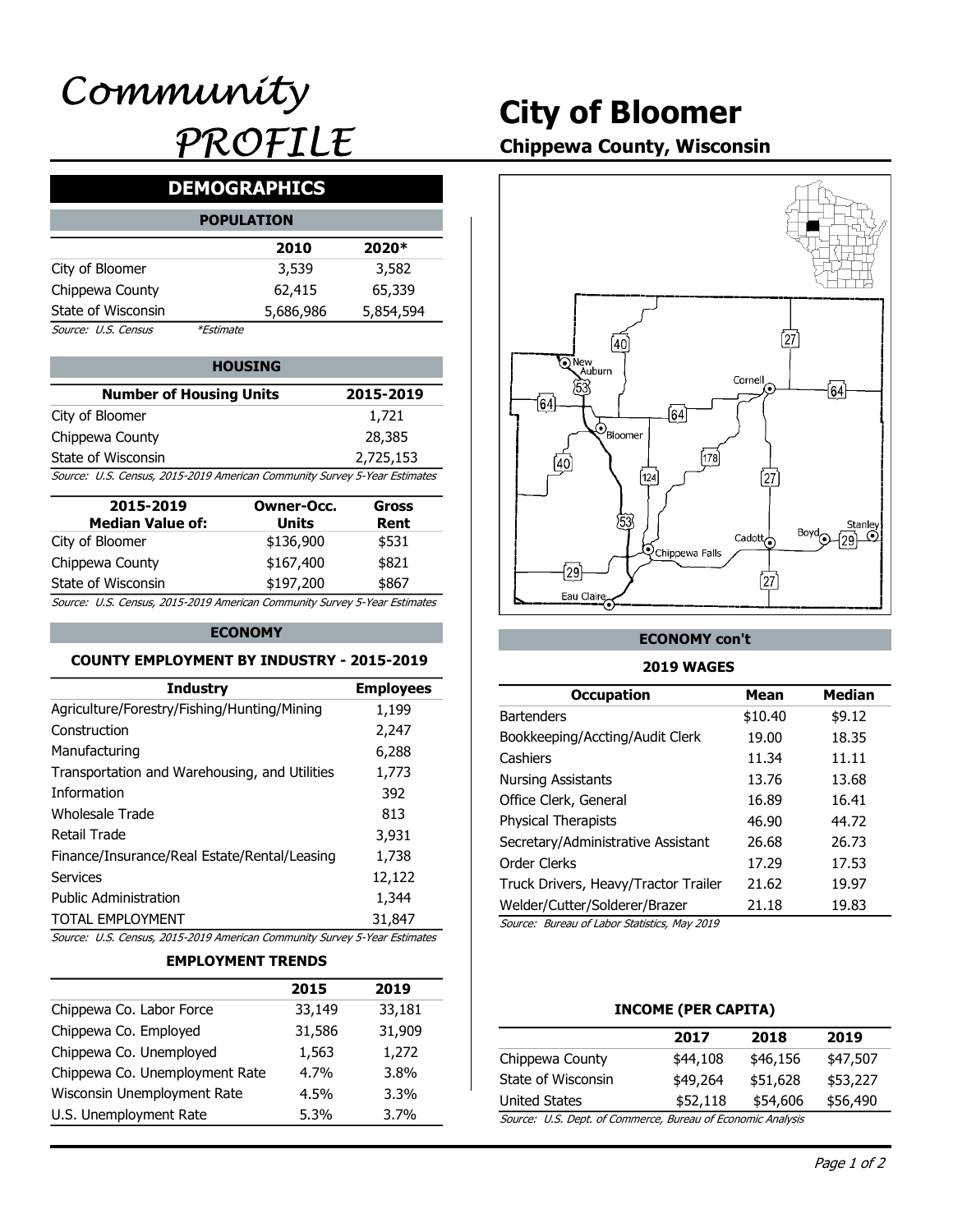# City of Bloomer

# Chippewa County, Wisconsin

# DEMOGRAPHICS

|                     |                  | <b>POPULATION</b> |           |  |
|---------------------|------------------|-------------------|-----------|--|
|                     |                  | 2010              | 2020*     |  |
| City of Bloomer     |                  | 3,539             | 3,582     |  |
| Chippewa County     |                  | 62,415            | 65,339    |  |
| State of Wisconsin  |                  | 5,686,986         | 5,854,594 |  |
| Source: U.S. Census | <i>*Estimate</i> |                   |           |  |

#### 2,725,153 HOUSING **New York Structure 1** | | | **QNew Auburn** City of Bloomer Chippewa County State of Wisconsin Number of Housing Units Source: U.S. Census, 2015-2019 American Community Survey 5-Year Estimates

| 2015-2019<br><b>Median Value of:</b>                                      | Owner-Occ.<br>Units | Gross<br>Rent |
|---------------------------------------------------------------------------|---------------------|---------------|
| City of Bloomer                                                           | \$136,900           | \$531         |
| Chippewa County                                                           | \$167,400           | \$821         |
| State of Wisconsin                                                        | \$197,200           | \$867         |
| Source: U.S. Census, 2015-2019 American Community Survey 5-Year Estimates |                     |               |

#### ECONOMY

#### COUNTY EMPLOYMENT BY INDUSTRY - 2015-2019

| Chinnows Co. Lahor Force                                                  | 22 140                   | 22 181           | INCOME (DED CADITA)                          |                     |                 |
|---------------------------------------------------------------------------|--------------------------|------------------|----------------------------------------------|---------------------|-----------------|
|                                                                           | 2015                     | 2019             |                                              |                     |                 |
|                                                                           | <b>EMPLOYMENT TRENDS</b> |                  |                                              |                     |                 |
| Source: U.S. Census, 2015-2019 American Community Survey 5-Year Estimates |                          |                  |                                              |                     |                 |
| <b>TOTAL EMPLOYMENT</b>                                                   |                          | 31,847           | Source: Bureau of Labor Statistics, May 2019 |                     |                 |
| <b>Public Administration</b>                                              |                          | 1,344            | Welder/Cutter/Solderer/Brazer                | 21.18               | 19.83           |
| <b>Services</b>                                                           |                          | 12,122           | Truck Drivers, Heavy/Tractor Trailer         | 21.62               | 19.97           |
| Finance/Insurance/Real Estate/Rental/Leasing                              |                          | 1,738            | Order Clerks                                 | 17.29               | 17.53           |
| <b>Retail Trade</b>                                                       |                          | 3,931            | Secretary/Administrative Assistant           | 26.68               | 26.73           |
| <b>Wholesale Trade</b>                                                    |                          | 813              | Physical Therapists                          | 46.90               | 44.72           |
| Information                                                               |                          | 392              | Office Clerk, General                        | 16.89               | 16.41           |
| Transportation and Warehousing, and Utilities                             |                          | 1,773            | <b>Nursing Assistants</b>                    | 13.76               | 13.68           |
| Manufacturing                                                             |                          | 6,288            | Cashiers                                     | 11.34               | 11.11           |
| Construction                                                              |                          | 2,247            | Bookkeeping/Accting/Audit Clerk              | 19.00               | 18.35           |
| Agriculture/Forestry/Fishing/Hunting/Mining                               |                          | 1,199            | <b>Bartenders</b>                            | \$10.40             | \$9.12          |
| <b>Industry</b>                                                           |                          | <b>Employees</b> | <b>Occupation</b>                            | <b>Mean</b>         | <b>Median</b>   |
| <b>COUNTY EMPLOYMENT BY INDUSTRY - 2015-2019</b>                          |                          |                  | <b>2019 WAGES</b>                            |                     |                 |
|                                                                           | <b>ECONOMY</b>           |                  | <b>ECONOMY con't</b>                         |                     |                 |
| Source: U.S. Census, 2015-2019 American Community Survey 5-Year Estimates |                          |                  |                                              |                     |                 |
| State of Wisconsin                                                        | \$197,200                | \$867            | Eau Claire                                   | [27                 |                 |
| Chippewa County                                                           | \$167,400                | \$821            | $\sqrt{29}$                                  |                     |                 |
| City of Bloomer                                                           | \$136,900                | \$531            | <b>Q</b> Chippewa Falls                      | Cadott <sub>o</sub> |                 |
| <b>Median Value of:</b>                                                   | <b>Units</b>             | Rent             | 53                                           |                     | Stanley<br>Bovd |
| 2015-2019                                                                 | <b>Owner-Occ.</b>        | <b>Gross</b>     |                                              |                     |                 |
| Source: U.S. Census, 2015-2019 American Community Survey 5-Year Estimates |                          |                  | [124]                                        | 27)                 |                 |
| State of Wisconsin                                                        |                          | 2,725,153        | 178<br>$\overline{40}$                       |                     |                 |
| Chippewa County                                                           |                          | בטוגרים          |                                              |                     |                 |

#### EMPLOYMENT TRENDS

|                                | 2015    | 2019    |                                              |                       |
|--------------------------------|---------|---------|----------------------------------------------|-----------------------|
| Chippewa Co. Labor Force       | 33,149  | 33,181  |                                              | <b>INCOME (PER C.</b> |
| Chippewa Co. Employed          | 31,586  | 31,909  |                                              | 2017                  |
| Chippewa Co. Unemployed        | 1,563   | 1,272   | Chippewa County                              | \$44,108              |
| Chippewa Co. Unemployment Rate | $4.7\%$ | 3.8%    | State of Wisconsin                           | \$49,264              |
| Wisconsin Unemployment Rate    | $4.5\%$ | $3.3\%$ | <b>United States</b>                         | \$52,118              |
| U.S. Unemployment Rate         | $5.3\%$ | 3.7%    | Source: U.S. Dept. of Commerce, Bureau of Ed |                       |
|                                |         |         |                                              |                       |



#### ECONOMY con't

#### 2019 WAGES

| r-Occ.<br>its<br>,900<br>,400<br>,200 | 28,385<br>2,725,153<br>unity Survey 5-Year Estimates<br><b>Gross</b><br>Rent<br>\$531<br>\$821<br>\$867<br>unity Survey 5-Year Estimates | $\mathcal{O}_{\text{Bloomer}}$<br>(40)<br>[124]<br>53<br><b>Q</b> Chippewa Falls<br>$\overline{29}$<br>Eau Claire | [178]<br>[27]<br>Cadott $\overline{\bigodot}$<br>$\int$ 27 $\int$ | Stanley<br>Boyd<br>$\odot$<br>(٥٥ |
|---------------------------------------|------------------------------------------------------------------------------------------------------------------------------------------|-------------------------------------------------------------------------------------------------------------------|-------------------------------------------------------------------|-----------------------------------|
|                                       | <b>ISTRY - 2015-2019</b>                                                                                                                 | <b>ECONOMY con't</b><br><b>2019 WAGES</b>                                                                         |                                                                   |                                   |
|                                       | <b>Employees</b>                                                                                                                         | <b>Occupation</b>                                                                                                 | <b>Mean</b>                                                       | <b>Median</b>                     |
| ning                                  | 1,199                                                                                                                                    | <b>Bartenders</b>                                                                                                 | \$10.40                                                           | \$9.12                            |
|                                       | 2,247                                                                                                                                    | Bookkeeping/Accting/Audit Clerk                                                                                   | 19.00                                                             | 18.35                             |
|                                       | 6,288                                                                                                                                    | Cashiers                                                                                                          | 11.34                                                             | 11.11                             |
| <b>Itilities</b>                      | 1,773                                                                                                                                    | <b>Nursing Assistants</b>                                                                                         | 13.76                                                             | 13.68                             |
|                                       | 392                                                                                                                                      | Office Clerk, General                                                                                             | 16.89                                                             | 16.41                             |
|                                       | 813                                                                                                                                      | <b>Physical Therapists</b>                                                                                        | 46.90                                                             | 44.72                             |
|                                       | 3,931                                                                                                                                    | Secretary/Administrative Assistant                                                                                | 26.68                                                             | 26.73                             |
| easing                                | 1,738                                                                                                                                    | Order Clerks                                                                                                      | 17.29                                                             | 17.53                             |
|                                       | 12,122                                                                                                                                   | Truck Drivers, Heavy/Tractor Trailer                                                                              | 21.62                                                             | 19.97                             |
|                                       | 1,344                                                                                                                                    | Welder/Cutter/Solderer/Brazer                                                                                     | 21.18                                                             | 19.83                             |
|                                       | 31,847                                                                                                                                   | Source: Bureau of Labor Statistics, May 2019                                                                      |                                                                   |                                   |
|                                       | unity Survey 5-Year Estimates                                                                                                            |                                                                                                                   |                                                                   |                                   |
| <b>NDS</b>                            |                                                                                                                                          |                                                                                                                   |                                                                   |                                   |
| 2015                                  | 2019                                                                                                                                     |                                                                                                                   |                                                                   |                                   |
| 33,149                                | 33,181                                                                                                                                   | <b>INCOME (PER CAPITA)</b>                                                                                        |                                                                   |                                   |
| 31,586                                | 31,909                                                                                                                                   | 2017                                                                                                              | 2018                                                              | 2019                              |
| 1,563                                 | 1,272                                                                                                                                    | Chippewa County<br>\$44,108                                                                                       | \$46,156                                                          | \$47,507                          |
| 4.7%                                  | 3.8%                                                                                                                                     | State of Wisconsin<br>\$49,264                                                                                    | \$51,628                                                          | \$53,227                          |
| 4.5%                                  | 3.3%                                                                                                                                     | <b>United States</b>                                                                                              | \$52,118<br>\$54,606                                              | \$56,490                          |
| 5.3%                                  | 3.7%                                                                                                                                     | Source: U.S. Dept. of Commerce, Bureau of Economic Analysis                                                       |                                                                   |                                   |

#### INCOME (PER CAPITA)

|                                                         | 2017     | 2018     | 2019     |
|---------------------------------------------------------|----------|----------|----------|
| Chippewa County                                         | \$44,108 | \$46,156 | \$47,507 |
| State of Wisconsin                                      | \$49,264 | \$51,628 | \$53,227 |
| United States                                           | \$52,118 | \$54,606 | \$56,490 |
| Course ILC Dont of Commerce Bureau of Esenamis Analysis |          |          |          |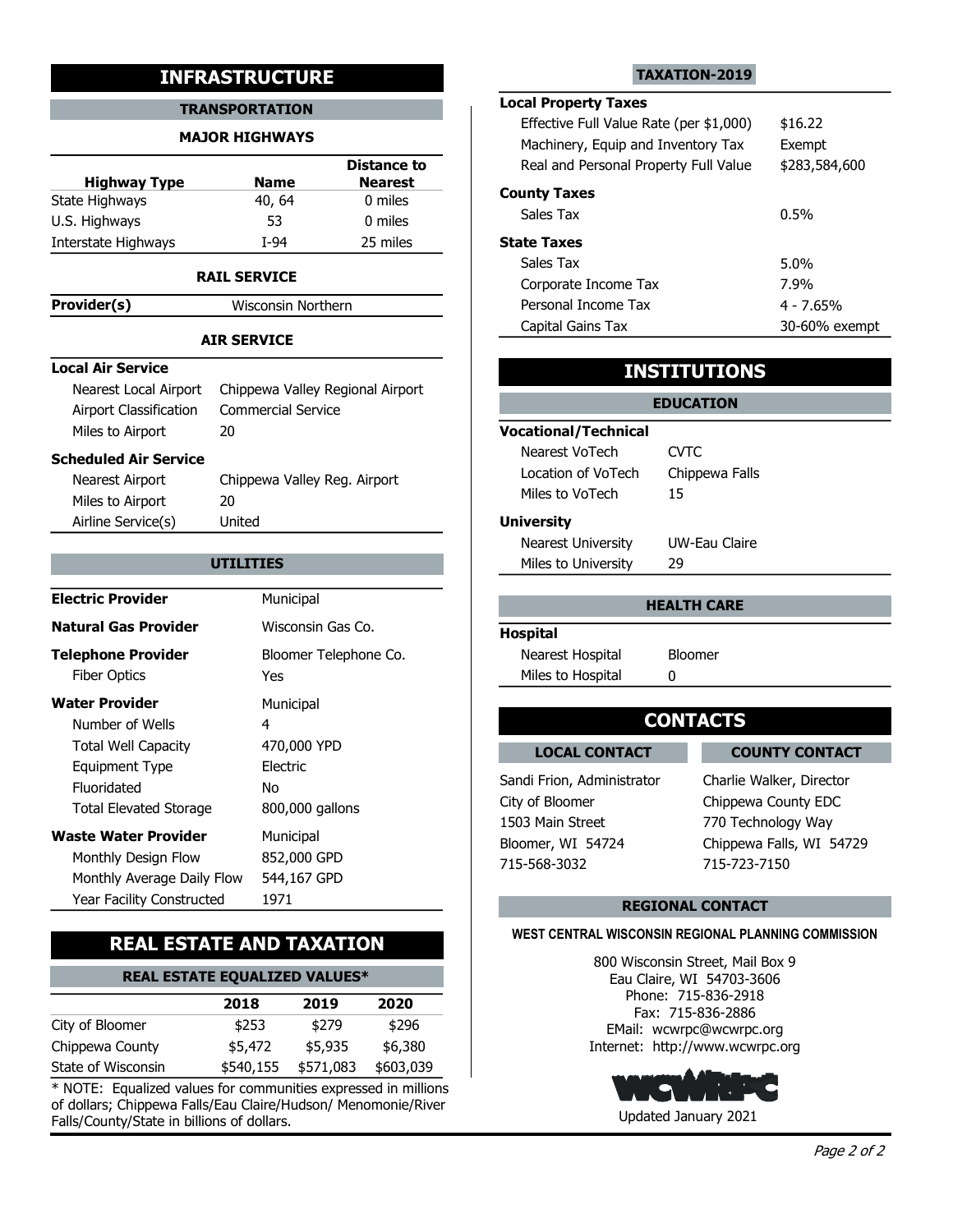#### TRANSPORTATION LOCAL Property Ia

#### MAJOR HIGHWAYS

|                     |             | <b>Distance to</b> | Real ar          |
|---------------------|-------------|--------------------|------------------|
| <b>Highway Type</b> | <b>Name</b> | <b>Nearest</b>     |                  |
| State Highways      | 40, 64      | 0 miles            | <b>County Ta</b> |
| U.S. Highways       | 53          | 0 miles            | Sales T          |
| Interstate Highways | T-94        | 25 miles           | <b>State Tax</b> |

#### RAIL SERVICE

**Provider(s)** Wisconsin Northern

### AIR SERVICE

#### Local Air Service

### Scheduled Air Service

| 1011901(3)                    |                                  |                             |                         |
|-------------------------------|----------------------------------|-----------------------------|-------------------------|
|                               | <b>AIR SERVICE</b>               | Capital Gains Tax           |                         |
| <b>Local Air Service</b>      |                                  |                             |                         |
| Nearest Local Airport         | Chippewa Valley Regional Airport |                             | <b>INSTITUTIONS</b>     |
| <b>Airport Classification</b> | <b>Commercial Service</b>        |                             | <b>EDUCATION</b>        |
| Miles to Airport              | 20                               | <b>Vocational/Technical</b> |                         |
|                               |                                  | Nearest VoTech              | <b>CVTC</b>             |
| <b>Scheduled Air Service</b>  |                                  | Location of VoTech          | Chippewa Falls          |
| Nearest Airport               | Chippewa Valley Reg. Airport     | Miles to VoTech             | 15                      |
| Miles to Airport              | 20                               |                             |                         |
| Airline Service(s)            | United                           | <b>University</b>           |                         |
|                               |                                  | <b>Nearest University</b>   | UW-Eau Claire           |
|                               | <b>UTILITIES</b>                 | Miles to University         | 29                      |
| <b>Electric Provider</b>      | Municipal                        |                             |                         |
|                               |                                  |                             | <b>HEALTH CARE</b>      |
| <b>Natural Gas Provider</b>   | Wisconsin Gas Co.                | <b>Hospital</b>             |                         |
| <b>Telephone Provider</b>     | Bloomer Telephone Co.            | Nearest Hospital            | <b>Bloomer</b>          |
| <b>Fiber Optics</b>           | <b>Yes</b>                       | Miles to Hospital           | 0                       |
| <b>Water Provider</b>         | Municipal                        |                             |                         |
| Number of Wells               | 4                                |                             | <b>CONTACTS</b>         |
| <b>Total Well Capacity</b>    | 470,000 YPD                      | <b>LOCAL CONTACT</b>        | <b>COUN</b>             |
| <b>Equipment Type</b>         | Electric                         |                             |                         |
| Fluoridated                   | <b>No</b>                        | Sandi Frion, Administrator  | Charlie Wal             |
| <b>Total Elevated Storage</b> | 800,000 gallons                  | City of Bloomer             | Chippewa 0              |
| <b>Waste Water Provider</b>   | Municipal                        | 1503 Main Street            | 770 Techno              |
| Monthly Design Flow           | 852,000 GPD                      | Bloomer, WI 54724           | Chippewa F              |
| Monthly Average Daily Flow    | 544,167 GPD                      | 715-568-3032                | 715-723-71              |
| Year Facility Constructed     | 1971                             |                             | <b>DECIONAL CONTACT</b> |

# REAL ESTATE AND TAXATION

# REAL ESTATE EQUALIZED VALUES\*

|                    | 2018    | 2019                | 2020      | Phone: 715<br>Fax: 715-8 |
|--------------------|---------|---------------------|-----------|--------------------------|
| City of Bloomer    | \$253   | \$279               | \$296     | EMail: wcwrpc            |
| Chippewa County    | \$5,472 | \$5,935             | \$6,380   | Internet: http://w       |
| State of Wisconsin |         | \$540,155 \$571,083 | \$603,039 |                          |

\* NOTE: Equalized values for communities expressed in millions of dollars; Chippewa Falls/Eau Claire/Hudson/ Menomonie/River Falls/County/State in billions of dollars.

#### TAXATION-2019

# Local Property Taxes

|                                                 | <b>INFRASTRUCTURE</b>                          |                                                 |                                                                                                              | <b>TAXATION-2019</b> |                       |
|-------------------------------------------------|------------------------------------------------|-------------------------------------------------|--------------------------------------------------------------------------------------------------------------|----------------------|-----------------------|
|                                                 | <b>TRANSPORTATION</b><br><b>MAJOR HIGHWAYS</b> |                                                 | <b>Local Property Taxes</b><br>Effective Full Value Rate (per \$1,000)<br>Machinery, Equip and Inventory Tax |                      | \$16.22<br>Exempt     |
| <b>Highway Type</b><br>te Highways              | <b>Name</b><br>40, 64                          | <b>Distance to</b><br><b>Nearest</b><br>0 miles | Real and Personal Property Full Value<br><b>County Taxes</b><br>Sales Tax                                    |                      | \$283,584,600<br>0.5% |
| . Highways                                      | 53                                             | 0 miles                                         |                                                                                                              |                      |                       |
| erstate Highways                                | $I-94$                                         | 25 miles                                        | <b>State Taxes</b><br>Sales Tax                                                                              |                      | 5.0%                  |
|                                                 | <b>RAIL SERVICE</b>                            |                                                 | Corporate Income Tax                                                                                         |                      | 7.9%                  |
| wider(s)                                        | Wisconsin Northern                             |                                                 | Personal Income Tax                                                                                          |                      | $4 - 7.65%$           |
|                                                 | <b>AIR SERVICE</b>                             |                                                 | Capital Gains Tax                                                                                            |                      | 30-60% exempt         |
| al Air Service                                  |                                                |                                                 |                                                                                                              | <b>INSTITUTIONS</b>  |                       |
| Nearest Local Airport<br>Airport Classification | <b>Commercial Service</b>                      | Chippewa Valley Regional Airport                |                                                                                                              | <b>EDUCATION</b>     |                       |
| Miles to Airport                                | 20                                             |                                                 | <b>Vocational/Technical</b><br>Nearest VoTech                                                                | <b>CVTC</b>          |                       |
| eduled Air Service                              |                                                |                                                 | Location of VoTech                                                                                           | Chippewa Falls       |                       |
| Nearest Airport<br>Miles to Airport             | Chippewa Valley Reg. Airport<br>20             |                                                 | Miles to VoTech                                                                                              | 15                   |                       |
| Airline Service(s)                              | United                                         |                                                 | <b>University</b>                                                                                            |                      |                       |
|                                                 |                                                |                                                 | Nearest University                                                                                           | UW-Eau Claire        |                       |
|                                                 | <b>UTILITIES</b>                               |                                                 | Miles to University                                                                                          | 29                   |                       |
| ctric Provider                                  | Municipal                                      |                                                 |                                                                                                              | <b>HEALTH CARE</b>   |                       |

## INSTITUTIONS

# EDUCATION Vocational/Technical Location of VoTech Chippewa Falls Nearest VoTech CVTC Miles to VoTech 15 **University** Nearest University UW-Eau Claire

| Miles to University |               |  |
|---------------------|---------------|--|
| Nearest University  | UW-Eau Claire |  |

# HEALTH CARE

#### Hospital Nearest Hospital Bloomer Miles to Hospital 0

# **CONTACTS**

**LOCAL CONTACT** LOCAL CONTACT COUNTY CONTACT

715-568-3032 715-723-7150 Bloomer, WI 54724 Chippewa Falls, WI 54729 Charlie Walker, Director Chippewa County EDC 770 Technology Way

### REGIONAL CONTACT

### WEST CENTRAL WISCONSIN REGIONAL PLANNING COMMISSION

\$6,380 Internet: http://www.wcwrpc.org \$296 EMail: wcwrpc@wcwrpc.org 2020 Fax: 715-836-2886 800 Wisconsin Street, Mail Box 9 Eau Claire, WI 54703-3606 Phone: 715-836-2918

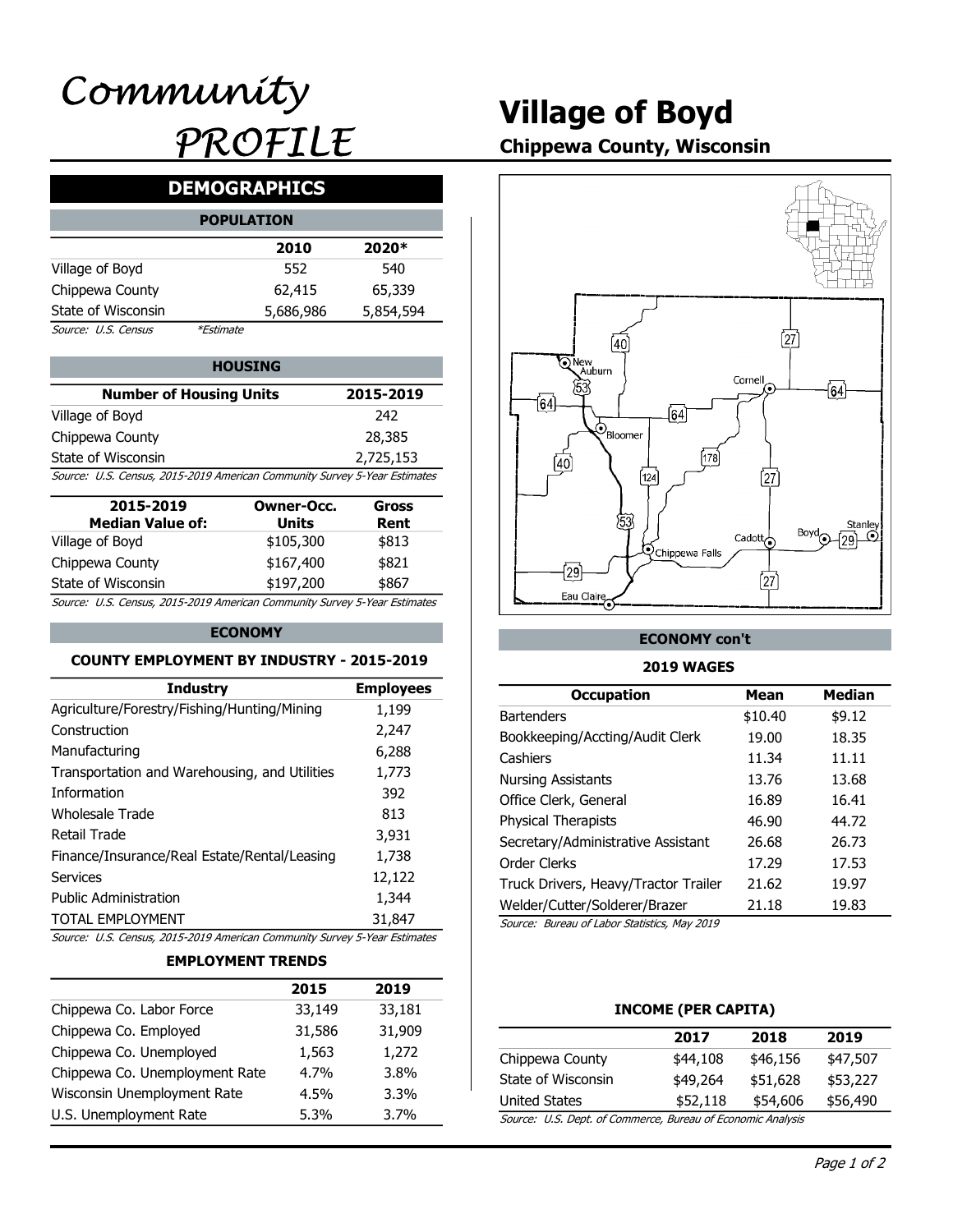# Village of Boyd

# Chippewa County, Wisconsin

# DEMOGRAPHICS

|                     |                  | <b>POPULATION</b> |           |  |
|---------------------|------------------|-------------------|-----------|--|
|                     |                  | 2010              | 2020*     |  |
| Village of Boyd     |                  | 552               | 540       |  |
| Chippewa County     |                  | 62,415            | 65,339    |  |
| State of Wisconsin  |                  | 5,686,986         | 5,854,594 |  |
| Source: U.S. Census | <i>*Estimate</i> |                   |           |  |

| <b>HOUSING</b>                                                            |           | o) New<br>Auburn |
|---------------------------------------------------------------------------|-----------|------------------|
| <b>Number of Housing Units</b>                                            | 2015-2019 |                  |
| Village of Boyd                                                           | 242       |                  |
| Chippewa County                                                           | 28,385    | 'Bloomer         |
| State of Wisconsin                                                        | 2,725,153 |                  |
| Source: U.S. Census, 2015-2019 American Community Survey 5-Year Estimates |           | 124              |

| 2015-2019<br><b>Median Value of:</b>                                      | Owner-Occ.<br>Units | Gross<br>Rent |
|---------------------------------------------------------------------------|---------------------|---------------|
| Village of Boyd                                                           | \$105,300           | \$813         |
| Chippewa County                                                           | \$167,400           | \$821         |
| State of Wisconsin                                                        | \$197,200           | \$867         |
| Source: U.S. Census, 2015-2019 American Community Survey 5-Year Estimates |                     |               |

#### ECONOMY

#### COUNTY EMPLOYMENT BY INDUSTRY - 2015-2019

| Chinnows Co. Lahor Force                                                                        | 22 140                   | 22 181           | INCOME (DED CADITA)                          |                     |                 |
|-------------------------------------------------------------------------------------------------|--------------------------|------------------|----------------------------------------------|---------------------|-----------------|
|                                                                                                 | 2015                     | 2019             |                                              |                     |                 |
|                                                                                                 | <b>EMPLOYMENT TRENDS</b> |                  |                                              |                     |                 |
| Source: U.S. Census, 2015-2019 American Community Survey 5-Year Estimates                       |                          |                  |                                              |                     |                 |
| <b>TOTAL EMPLOYMENT</b>                                                                         |                          | 31,847           | Source: Bureau of Labor Statistics, May 2019 |                     |                 |
| <b>Public Administration</b>                                                                    |                          | 1,344            | Welder/Cutter/Solderer/Brazer                | 21.18               | 19.83           |
| <b>Services</b>                                                                                 |                          | 12,122           | Truck Drivers, Heavy/Tractor Trailer         | 21.62               | 19.97           |
| Finance/Insurance/Real Estate/Rental/Leasing                                                    |                          | 1,738            | Order Clerks                                 | 17.29               | 17.53           |
| <b>Retail Trade</b>                                                                             |                          | 3,931            | Secretary/Administrative Assistant           | 26.68               | 26.73           |
| <b>Wholesale Trade</b>                                                                          |                          | 813              | Physical Therapists                          | 46.90               | 44.72           |
| Information                                                                                     |                          | 392              | Office Clerk, General                        | 16.89               | 16.41           |
| Transportation and Warehousing, and Utilities                                                   |                          | 1,773            | <b>Nursing Assistants</b>                    | 13.76               | 13.68           |
| Manufacturing                                                                                   |                          | 6,288            | Cashiers                                     | 11.34               | 11.11           |
| Construction                                                                                    |                          | 2,247            | Bookkeeping/Accting/Audit Clerk              | 19.00               | 18.35           |
| Agriculture/Forestry/Fishing/Hunting/Mining                                                     |                          | 1,199            | <b>Bartenders</b>                            | \$10.40             | \$9.12          |
| <b>Industry</b>                                                                                 |                          | <b>Employees</b> | <b>Occupation</b>                            | <b>Mean</b>         | <b>Median</b>   |
| <b>COUNTY EMPLOYMENT BY INDUSTRY - 2015-2019</b>                                                |                          |                  | <b>2019 WAGES</b>                            |                     |                 |
|                                                                                                 | <b>ECONOMY</b>           |                  | <b>ECONOMY con't</b>                         |                     |                 |
|                                                                                                 |                          |                  |                                              |                     |                 |
| State of Wisconsin<br>Source: U.S. Census, 2015-2019 American Community Survey 5-Year Estimates | \$197,200                | \$867            | Eau Claire                                   | [27                 |                 |
| Chippewa County                                                                                 | \$167,400                | \$821            | $\sqrt{29}$                                  |                     |                 |
| Village of Boyd                                                                                 | \$105,300                | \$813            | <b>Q</b> Chippewa Falls                      | Cadott <sub>o</sub> |                 |
| <b>Median Value of:</b>                                                                         | <b>Units</b>             | Rent             | 53                                           |                     | Stanley<br>Bovd |
| 2015-2019                                                                                       | <b>Owner-Occ.</b>        | <b>Gross</b>     |                                              |                     |                 |
| Source: U.S. Census, 2015-2019 American Community Survey 5-Year Estimates                       |                          |                  | [124]                                        | 27)                 |                 |
| State of Wisconsin                                                                              |                          | 2,725,153        | 178<br>$\overline{40}$                       |                     |                 |
| Chippewa County                                                                                 |                          | בטוגרים          |                                              |                     |                 |

#### EMPLOYMENT TRENDS

|                                | 2015    | 2019    |                                              |                       |
|--------------------------------|---------|---------|----------------------------------------------|-----------------------|
| Chippewa Co. Labor Force       | 33,149  | 33,181  |                                              | <b>INCOME (PER C.</b> |
| Chippewa Co. Employed          | 31,586  | 31,909  |                                              | 2017                  |
| Chippewa Co. Unemployed        | 1,563   | 1,272   | Chippewa County                              | \$44,108              |
| Chippewa Co. Unemployment Rate | $4.7\%$ | 3.8%    | State of Wisconsin                           | \$49,264              |
| Wisconsin Unemployment Rate    | $4.5\%$ | $3.3\%$ | <b>United States</b>                         | \$52,118              |
| U.S. Unemployment Rate         | $5.3\%$ | 3.7%    | Source: U.S. Dept. of Commerce, Bureau of Ed |                       |
|                                |         |         |                                              |                       |



#### ECONOMY con't

#### 2019 WAGES

| r-Occ.<br>its<br>,300<br>,400<br>,200 | 28,385<br>2,725,153<br>unity Survey 5-Year Estimates<br><b>Gross</b><br>Rent<br>\$813<br>\$821<br>\$867<br>unity Survey 5-Year Estimates | $\mathcal{O}_{\text{Bloomer}}$<br>(40)<br>[124]<br>53<br><b>Q</b> Chippewa Falls<br>$\overline{29}$<br>Eau Claire | [178]<br>[27]<br>Cadott $\overline{\bigodot}$<br>$\int$ 27 $\int$ | Stanley<br>Boyd<br>$\odot$<br>(٥٥ |
|---------------------------------------|------------------------------------------------------------------------------------------------------------------------------------------|-------------------------------------------------------------------------------------------------------------------|-------------------------------------------------------------------|-----------------------------------|
|                                       | <b>ISTRY - 2015-2019</b>                                                                                                                 | <b>ECONOMY con't</b><br><b>2019 WAGES</b>                                                                         |                                                                   |                                   |
|                                       | <b>Employees</b>                                                                                                                         | <b>Occupation</b>                                                                                                 | <b>Mean</b>                                                       | <b>Median</b>                     |
| ning                                  | 1,199                                                                                                                                    | <b>Bartenders</b>                                                                                                 | \$10.40                                                           | \$9.12                            |
|                                       | 2,247                                                                                                                                    | Bookkeeping/Accting/Audit Clerk                                                                                   | 19.00                                                             | 18.35                             |
|                                       | 6,288                                                                                                                                    | Cashiers                                                                                                          | 11.34                                                             | 11.11                             |
| <b>Itilities</b>                      | 1,773                                                                                                                                    | <b>Nursing Assistants</b>                                                                                         | 13.76                                                             | 13.68                             |
|                                       | 392                                                                                                                                      | Office Clerk, General                                                                                             | 16.89                                                             | 16.41                             |
|                                       | 813                                                                                                                                      | <b>Physical Therapists</b>                                                                                        | 46.90                                                             | 44.72                             |
|                                       | 3,931                                                                                                                                    | Secretary/Administrative Assistant                                                                                | 26.68                                                             | 26.73                             |
| easing                                | 1,738                                                                                                                                    | Order Clerks                                                                                                      | 17.29                                                             | 17.53                             |
|                                       | 12,122                                                                                                                                   | Truck Drivers, Heavy/Tractor Trailer                                                                              | 21.62                                                             | 19.97                             |
|                                       | 1,344                                                                                                                                    | Welder/Cutter/Solderer/Brazer                                                                                     | 21.18                                                             | 19.83                             |
|                                       | 31,847                                                                                                                                   | Source: Bureau of Labor Statistics, May 2019                                                                      |                                                                   |                                   |
|                                       | unity Survey 5-Year Estimates                                                                                                            |                                                                                                                   |                                                                   |                                   |
| <b>NDS</b>                            |                                                                                                                                          |                                                                                                                   |                                                                   |                                   |
| 2015                                  | 2019                                                                                                                                     |                                                                                                                   |                                                                   |                                   |
| 33,149                                | 33,181                                                                                                                                   | <b>INCOME (PER CAPITA)</b>                                                                                        |                                                                   |                                   |
| 31,586                                | 31,909                                                                                                                                   | 2017                                                                                                              | 2018                                                              | 2019                              |
| 1,563                                 | 1,272                                                                                                                                    | Chippewa County<br>\$44,108                                                                                       | \$46,156                                                          | \$47,507                          |
| 4.7%                                  | 3.8%                                                                                                                                     | State of Wisconsin<br>\$49,264                                                                                    | \$51,628                                                          | \$53,227                          |
| 4.5%                                  | 3.3%                                                                                                                                     | <b>United States</b>                                                                                              | \$52,118                                                          | \$54,606<br>\$56,490              |
| 5.3%                                  | 3.7%                                                                                                                                     | Source: U.S. Dept. of Commerce, Bureau of Economic Analysis                                                       |                                                                   |                                   |

#### INCOME (PER CAPITA)

|                                                         | 2017     | 2018     | 2019     |
|---------------------------------------------------------|----------|----------|----------|
| Chippewa County                                         | \$44,108 | \$46,156 | \$47,507 |
| State of Wisconsin                                      | \$49,264 | \$51,628 | \$53,227 |
| United States                                           | \$52,118 | \$54,606 | \$56,490 |
| Course ILC Dont of Commerce Bureau of Esenamis Analysis |          |          |          |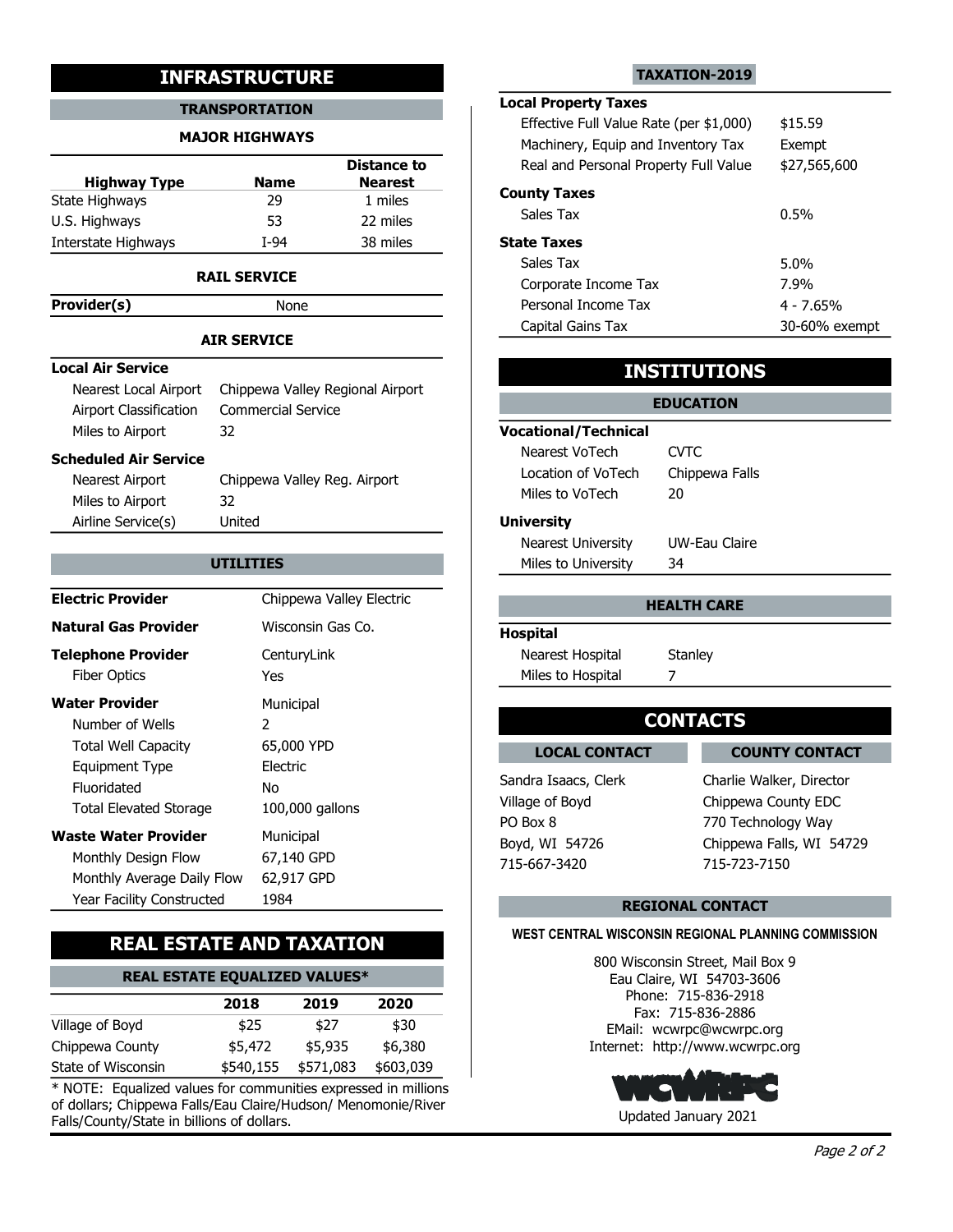#### TRANSPORTATION

#### MAJOR HIGHWAYS

|                              | <b>INFRASTRUCTURE</b>        |                                  |                                                                             | TAXATION-2019       |
|------------------------------|------------------------------|----------------------------------|-----------------------------------------------------------------------------|---------------------|
|                              | <b>TRANSPORTATION</b>        |                                  | <b>Local Property Taxes</b>                                                 |                     |
|                              | <b>MAJOR HIGHWAYS</b>        |                                  | Effective Full Value Rate (per \$1,000)                                     |                     |
|                              |                              | <b>Distance to</b>               | Machinery, Equip and Inventory Tax<br>Real and Personal Property Full Value |                     |
| <b>Highway Type</b>          | <b>Name</b>                  | <b>Nearest</b>                   |                                                                             |                     |
| State Highways               | 29                           | 1 miles                          | <b>County Taxes</b>                                                         |                     |
| U.S. Highways                | 53                           | 22 miles                         | Sales Tax                                                                   |                     |
| Interstate Highways          | $I-94$                       | 38 miles                         | <b>State Taxes</b>                                                          |                     |
|                              | <b>RAIL SERVICE</b>          |                                  | Sales Tax                                                                   |                     |
|                              |                              |                                  | Corporate Income Tax<br>Personal Income Tax                                 |                     |
| Provider(s)                  | None                         |                                  | Capital Gains Tax                                                           |                     |
|                              | <b>AIR SERVICE</b>           |                                  |                                                                             |                     |
| <b>Local Air Service</b>     |                              |                                  |                                                                             | <b>INSTITUTIONS</b> |
| Nearest Local Airport        |                              | Chippewa Valley Regional Airport |                                                                             |                     |
| Airport Classification       | <b>Commercial Service</b>    |                                  |                                                                             | <b>EDUCATION</b>    |
| Miles to Airport             | 32                           |                                  | <b>Vocational/Technical</b>                                                 |                     |
| <b>Scheduled Air Service</b> |                              |                                  | Nearest VoTech                                                              | <b>CVTC</b>         |
| Nearest Airport              | Chippewa Valley Reg. Airport |                                  | Location of VoTech                                                          | Chippewa Falls      |
| Miles to Airport             | 32                           |                                  | Miles to VoTech                                                             | 20                  |
| Airline Service(s)           | United                       |                                  | <b>University</b>                                                           |                     |
|                              |                              |                                  | <b>Nearest University</b>                                                   | UW-Eau Claire       |
|                              | <b>UTILITIES</b>             |                                  | Miles to University                                                         | 34                  |
| <b>Electric Provider</b>     |                              | Chippewa Valley Electric         |                                                                             | <b>HEALTH CARE</b>  |
|                              |                              |                                  |                                                                             |                     |

#### RAIL SERVICE

#### AIR SERVICE

#### Local Air Service

### Scheduled Air Service

| .                                                                                                                                                                                       |                                                                                          |                                                                                                               |                                                                                                                                            |
|-----------------------------------------------------------------------------------------------------------------------------------------------------------------------------------------|------------------------------------------------------------------------------------------|---------------------------------------------------------------------------------------------------------------|--------------------------------------------------------------------------------------------------------------------------------------------|
|                                                                                                                                                                                         | <b>AIR SERVICE</b>                                                                       | Capital Gains Tax                                                                                             | 30-60% exempt                                                                                                                              |
| <b>Local Air Service</b>                                                                                                                                                                |                                                                                          |                                                                                                               | <b>INSTITUTIONS</b>                                                                                                                        |
| Nearest Local Airport<br>Airport Classification<br>Miles to Airport<br>32                                                                                                               | Chippewa Valley Regional Airport<br><b>Commercial Service</b>                            | <b>Vocational/Technical</b>                                                                                   | <b>EDUCATION</b>                                                                                                                           |
| <b>Scheduled Air Service</b><br>Nearest Airport<br>Miles to Airport<br>32                                                                                                               | Chippewa Valley Reg. Airport                                                             | Nearest VoTech<br>Location of VoTech<br>Miles to VoTech                                                       | <b>CVTC</b><br>Chippewa Falls<br>20                                                                                                        |
| Airline Service(s)                                                                                                                                                                      | United<br><b>UTILITIES</b>                                                               | <b>University</b><br><b>Nearest University</b><br>Miles to University                                         | <b>UW-Eau Claire</b><br>34                                                                                                                 |
| <b>Electric Provider</b>                                                                                                                                                                | Chippewa Valley Electric                                                                 |                                                                                                               | <b>HEALTH CARE</b>                                                                                                                         |
| <b>Natural Gas Provider</b>                                                                                                                                                             | Wisconsin Gas Co.                                                                        | <b>Hospital</b>                                                                                               |                                                                                                                                            |
| <b>Telephone Provider</b><br><b>Fiber Optics</b>                                                                                                                                        | CenturyLink<br>Yes                                                                       | Nearest Hospital<br>Miles to Hospital                                                                         | Stanley<br>7                                                                                                                               |
| <b>Water Provider</b><br>Number of Wells                                                                                                                                                | Municipal<br>$\mathcal{L}$                                                               |                                                                                                               | <b>CONTACTS</b>                                                                                                                            |
| <b>Total Well Capacity</b><br><b>Equipment Type</b><br>Fluoridated<br><b>Total Elevated Storage</b><br><b>Waste Water Provider</b><br>Monthly Design Flow<br>Monthly Average Daily Flow | 65,000 YPD<br>Electric<br>No<br>100,000 gallons<br>Municipal<br>67,140 GPD<br>62,917 GPD | <b>LOCAL CONTACT</b><br>Sandra Isaacs, Clerk<br>Village of Boyd<br>PO Box 8<br>Boyd, WI 54726<br>715-667-3420 | <b>COUNTY CONTACT</b><br>Charlie Walker, Director<br>Chippewa County EDC<br>770 Technology Way<br>Chippewa Falls, WI 54729<br>715-723-7150 |
| Year Facility Constructed                                                                                                                                                               | 1984                                                                                     |                                                                                                               | <b>REGIONAL CONTACT</b>                                                                                                                    |

## REAL ESTATE AND TAXATION

# REAL ESTATE EQUALIZED VALUES\*

|                    | 2018    | 2019                | 2020      | PHULE, 713<br>Fax: 715-8 |
|--------------------|---------|---------------------|-----------|--------------------------|
| Village of Boyd    | \$25    | \$27                | \$30      | EMail: wcwrpc            |
| Chippewa County    | \$5,472 | \$5,935             | \$6,380   | Internet: http://w       |
| State of Wisconsin |         | \$540,155 \$571,083 | \$603,039 |                          |

\* NOTE: Equalized values for communities expressed in millions of dollars; Chippewa Falls/Eau Claire/Hudson/ Menomonie/River Falls/County/State in billions of dollars.

#### TAXATION-2019

### **Distance to** The Real and Personal Property Full Value \$27,565,600 Nearest Local Property Taxes Machinery, Equip and Inventory Tax Exempt Effective Full Value Rate (per \$1,000) \$15.59

| - - - - -<br>1 miles | <b>County Taxes</b>  |               |
|----------------------|----------------------|---------------|
| 22 miles             | Sales Tax            | $0.5\%$       |
| 38 miles             | <b>State Taxes</b>   |               |
|                      | Sales Tax            | 5.0%          |
|                      | Corporate Income Tax | 7.9%          |
|                      | Personal Income Tax  | 4 - 7.65%     |
|                      | Capital Gains Tax    | 30-60% exempt |

## INSTITUTIONS

### **UTILITIES Example 20 Miles to University 34 Miles 10 Miles to University 34** EDUCATION Vocational/Technical Location of VoTech Chippewa Falls Nearest VoTech CVTC Miles to VoTech 20 **University** Nearest University UW-Eau Claire

# HEALTH CARE

### Hospital

# **CONTACTS**

# **LOCAL CONTACT** LOCAL CONTACT COUNTY CONTACT 715-667-3420

Sandra Isaacs, Clerk Charlie Walker, Director 715-667-3420 715-723-7150 Village of Boyd Chippewa County EDC PO Box 8 770 Technology Way Boyd, WI 54726 Chippewa Falls, WI 54729

#### REGIONAL CONTACT

#### WEST CENTRAL WISCONSIN REGIONAL PLANNING COMMISSION

\$6,380 Internet: http://www.wcwrpc.org \$30 EMail: wcwrpc@wcwrpc.org 2020 Fax: 715-836-2886 800 Wisconsin Street, Mail Box 9 Eau Claire, WI 54703-3606 Phone: 715-836-2918

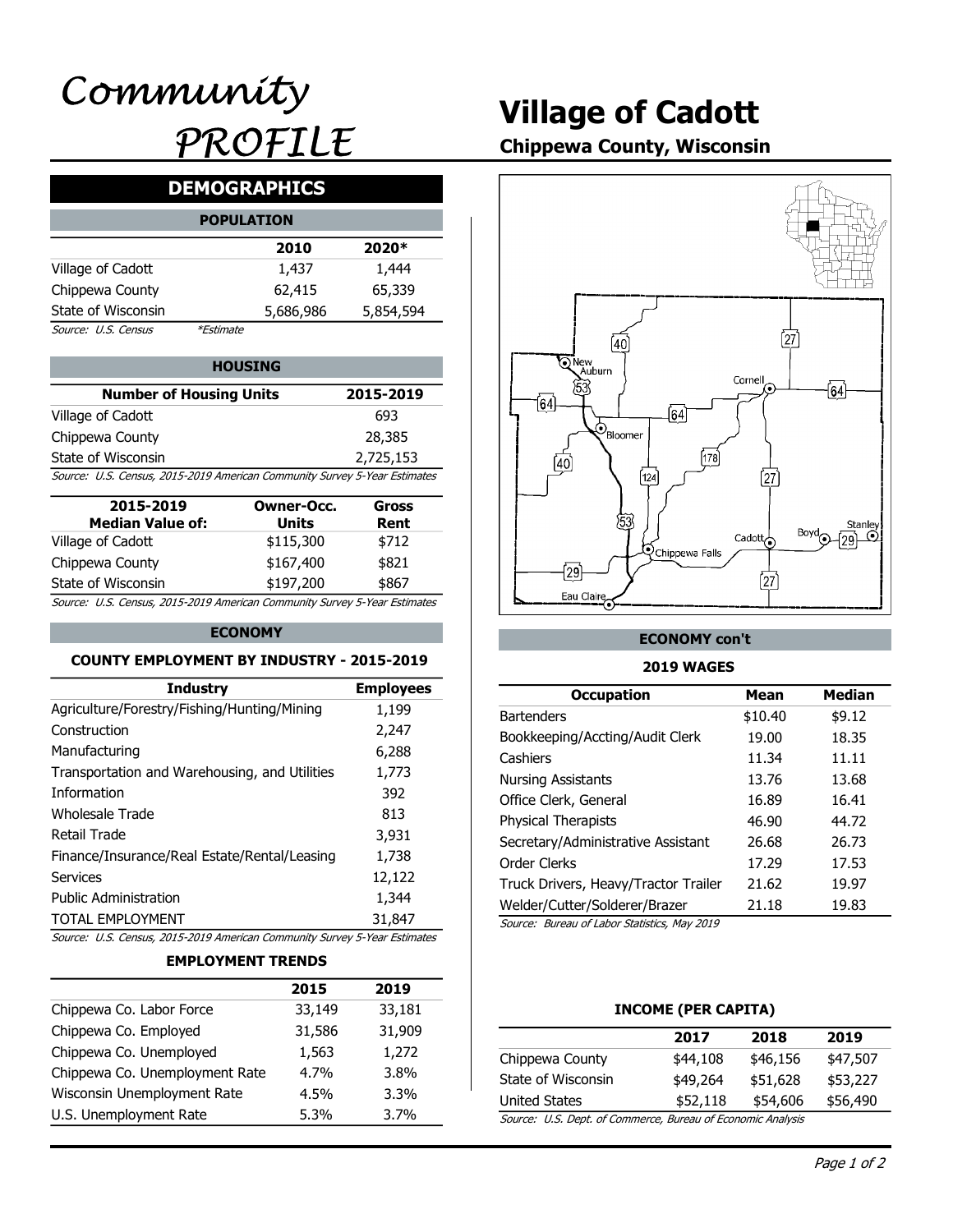# Village of Cadott

# Chippewa County, Wisconsin

# DEMOGRAPHICS

|                     | <b>POPULATION</b> |           |           |  |
|---------------------|-------------------|-----------|-----------|--|
|                     |                   | 2010      | 2020*     |  |
| Village of Cadott   |                   | 1,437     | 1,444     |  |
| Chippewa County     |                   | 62,415    | 65,339    |  |
| State of Wisconsin  |                   | 5,686,986 | 5,854,594 |  |
| Source: U.S. Census | <i>*Estimate</i>  |           |           |  |

#### 2,725,153 HOUSING **New York Structure 1** | | | **QNew Auburn** Village of Cadott Chippewa County State of Wisconsin Number of Housing Units Source: U.S. Census, 2015-2019 American Community Survey 5-Year Estimates

| 2015-2019<br><b>Median Value of:</b>                                      | Owner-Occ.<br>Units | Gross<br>Rent |
|---------------------------------------------------------------------------|---------------------|---------------|
| Village of Cadott                                                         | \$115,300           | \$712         |
| Chippewa County                                                           | \$167,400           | \$821         |
| State of Wisconsin                                                        | \$197,200           | \$867         |
| Source: U.S. Census, 2015-2019 American Community Survey 5-Year Estimates |                     |               |

#### ECONOMY

#### COUNTY EMPLOYMENT BY INDUSTRY - 2015-2019

| Chinnows Co. Lahor Force                                                  | 22 140                   | 22 181           | INCOME (DED CADITA)                          |                     |               |
|---------------------------------------------------------------------------|--------------------------|------------------|----------------------------------------------|---------------------|---------------|
|                                                                           | 2015                     | 2019             |                                              |                     |               |
|                                                                           | <b>EMPLOYMENT TRENDS</b> |                  |                                              |                     |               |
| Source: U.S. Census, 2015-2019 American Community Survey 5-Year Estimates |                          |                  |                                              |                     |               |
| <b>TOTAL EMPLOYMENT</b>                                                   |                          | 31,847           | Source: Bureau of Labor Statistics, May 2019 |                     |               |
| <b>Public Administration</b>                                              |                          | 1,344            | Welder/Cutter/Solderer/Brazer                | 21.18               | 19.83         |
| <b>Services</b>                                                           |                          | 12,122           | Truck Drivers, Heavy/Tractor Trailer         | 21.62               | 19.97         |
| Finance/Insurance/Real Estate/Rental/Leasing                              |                          | 1,738            | Order Clerks                                 | 17.29               | 17.53         |
| <b>Retail Trade</b>                                                       |                          | 3,931            | Secretary/Administrative Assistant           | 26.68               | 26.73         |
| <b>Wholesale Trade</b>                                                    |                          | 813              | Physical Therapists                          | 46.90               | 44.72         |
| Information                                                               |                          | 392              | Office Clerk, General                        | 16.89               | 16.41         |
| Transportation and Warehousing, and Utilities                             |                          | 1,773            | <b>Nursing Assistants</b>                    | 13.76               | 13.68         |
| Manufacturing                                                             |                          | 6,288            | Cashiers                                     | 11.34               | 11.11         |
| Construction                                                              |                          | 2,247            | Bookkeeping/Accting/Audit Clerk              | 19.00               | 18.35         |
| Agriculture/Forestry/Fishing/Hunting/Mining                               |                          | 1,199            | <b>Bartenders</b>                            | \$10.40             | \$9.12        |
| <b>Industry</b>                                                           |                          | <b>Employees</b> | <b>Occupation</b>                            | <b>Mean</b>         | <b>Median</b> |
| <b>COUNTY EMPLOYMENT BY INDUSTRY - 2015-2019</b>                          |                          |                  | <b>2019 WAGES</b>                            |                     |               |
|                                                                           | <b>ECONOMY</b>           |                  | <b>ECONOMY con't</b>                         |                     |               |
| Source: U.S. Census, 2015-2019 American Community Survey 5-Year Estimates |                          |                  |                                              |                     |               |
| State of Wisconsin                                                        | \$197,200                | \$867            | Eau Claire                                   | [27                 |               |
| Chippewa County                                                           | \$167,400                | \$821            | $\sqrt{29}$                                  |                     |               |
| Village of Cadott                                                         | \$115,300                | \$712            | <b>Q</b> Chippewa Falls                      | Cadott <sub>o</sub> | Bovd          |
| <b>Median Value of:</b>                                                   | <b>Units</b>             | Rent             | 53                                           |                     | Stanley       |
| 2015-2019                                                                 | <b>Owner-Occ.</b>        | <b>Gross</b>     |                                              |                     |               |
| Source: U.S. Census, 2015-2019 American Community Survey 5-Year Estimates |                          |                  | [124]                                        | 27)                 |               |
| State of Wisconsin                                                        |                          | 2,725,153        | 178<br>$\overline{40}$                       |                     |               |
| Chippewa County                                                           |                          | בטוגרים          |                                              |                     |               |

#### EMPLOYMENT TRENDS

|                                | 2015    | 2019    |                                              |                       |
|--------------------------------|---------|---------|----------------------------------------------|-----------------------|
| Chippewa Co. Labor Force       | 33,149  | 33,181  |                                              | <b>INCOME (PER C.</b> |
| Chippewa Co. Employed          | 31,586  | 31,909  |                                              | 2017                  |
| Chippewa Co. Unemployed        | 1,563   | 1,272   | Chippewa County                              | \$44,108              |
| Chippewa Co. Unemployment Rate | $4.7\%$ | 3.8%    | State of Wisconsin                           | \$49,264              |
| Wisconsin Unemployment Rate    | $4.5\%$ | $3.3\%$ | <b>United States</b>                         | \$52,118              |
| U.S. Unemployment Rate         | $5.3\%$ | 3.7%    | Source: U.S. Dept. of Commerce, Bureau of Ed |                       |
|                                |         |         |                                              |                       |



#### ECONOMY con't

#### 2019 WAGES

| r-Occ.<br>its<br>,300<br>,400<br>,200 | 28,385<br>2,725,153<br>unity Survey 5-Year Estimates<br><b>Gross</b><br>Rent<br>\$712<br>\$821<br>\$867<br>unity Survey 5-Year Estimates | $\mathcal{O}_{\text{Bloomer}}$<br>(40)<br>[124]<br>53<br><b>Q</b> Chippewa Falls<br>$\overline{29}$<br>Eau Claire | [178]<br>[27]<br>Cadott $\overline{\bigodot}$<br>$\int$ 27 $\int$ | Stanley<br>Boyd<br>$\odot$<br>(٥٥ |
|---------------------------------------|------------------------------------------------------------------------------------------------------------------------------------------|-------------------------------------------------------------------------------------------------------------------|-------------------------------------------------------------------|-----------------------------------|
|                                       | <b>ISTRY - 2015-2019</b>                                                                                                                 | <b>ECONOMY con't</b><br><b>2019 WAGES</b>                                                                         |                                                                   |                                   |
|                                       | <b>Employees</b>                                                                                                                         | <b>Occupation</b>                                                                                                 | <b>Mean</b>                                                       | <b>Median</b>                     |
| ning                                  | 1,199                                                                                                                                    | <b>Bartenders</b>                                                                                                 | \$10.40                                                           | \$9.12                            |
|                                       | 2,247                                                                                                                                    | Bookkeeping/Accting/Audit Clerk                                                                                   | 19.00                                                             | 18.35                             |
|                                       | 6,288                                                                                                                                    | Cashiers                                                                                                          | 11.34                                                             | 11.11                             |
| <b>Itilities</b>                      | 1,773                                                                                                                                    | <b>Nursing Assistants</b>                                                                                         | 13.76                                                             | 13.68                             |
|                                       | 392                                                                                                                                      | Office Clerk, General                                                                                             | 16.89                                                             | 16.41                             |
|                                       | 813                                                                                                                                      | <b>Physical Therapists</b>                                                                                        |                                                                   |                                   |
|                                       | 3,931                                                                                                                                    |                                                                                                                   | 46.90                                                             | 44.72<br>26.73                    |
| easing                                | 1,738                                                                                                                                    | Secretary/Administrative Assistant                                                                                | 26.68                                                             |                                   |
|                                       | 12,122                                                                                                                                   | Order Clerks                                                                                                      | 17.29                                                             | 17.53                             |
|                                       | 1,344                                                                                                                                    | Truck Drivers, Heavy/Tractor Trailer                                                                              | 21.62                                                             | 19.97                             |
|                                       | 31,847                                                                                                                                   | Welder/Cutter/Solderer/Brazer                                                                                     | 21.18                                                             | 19.83                             |
|                                       | unity Survey 5-Year Estimates                                                                                                            | Source: Bureau of Labor Statistics, May 2019                                                                      |                                                                   |                                   |
| <b>NDS</b>                            |                                                                                                                                          |                                                                                                                   |                                                                   |                                   |
| 2015                                  | 2019                                                                                                                                     |                                                                                                                   |                                                                   |                                   |
| 33,149                                | 33,181                                                                                                                                   | <b>INCOME (PER CAPITA)</b>                                                                                        |                                                                   |                                   |
| 31,586                                | 31,909                                                                                                                                   | 2017                                                                                                              | 2018                                                              | 2019                              |
| 1,563                                 | 1,272                                                                                                                                    | Chippewa County<br>\$44,108                                                                                       |                                                                   | \$47,507<br>\$46,156              |
| 4.7%                                  | 3.8%                                                                                                                                     | State of Wisconsin<br>\$49,264                                                                                    |                                                                   | \$51,628<br>\$53,227              |
| 4.5%                                  | 3.3%                                                                                                                                     | <b>United States</b>                                                                                              | \$52,118                                                          | \$54,606<br>\$56,490              |
| 5.3%                                  | 3.7%                                                                                                                                     | Source: U.S. Dept. of Commerce, Bureau of Economic Analysis                                                       |                                                                   |                                   |

#### INCOME (PER CAPITA)

|                                                         | 2017     | 2018     | 2019     |
|---------------------------------------------------------|----------|----------|----------|
| Chippewa County                                         | \$44,108 | \$46,156 | \$47,507 |
| State of Wisconsin                                      | \$49,264 | \$51,628 | \$53,227 |
| United States                                           | \$52,118 | \$54,606 | \$56,490 |
| Course ILC Dont of Commerce Bureau of Esenamis Analysis |          |          |          |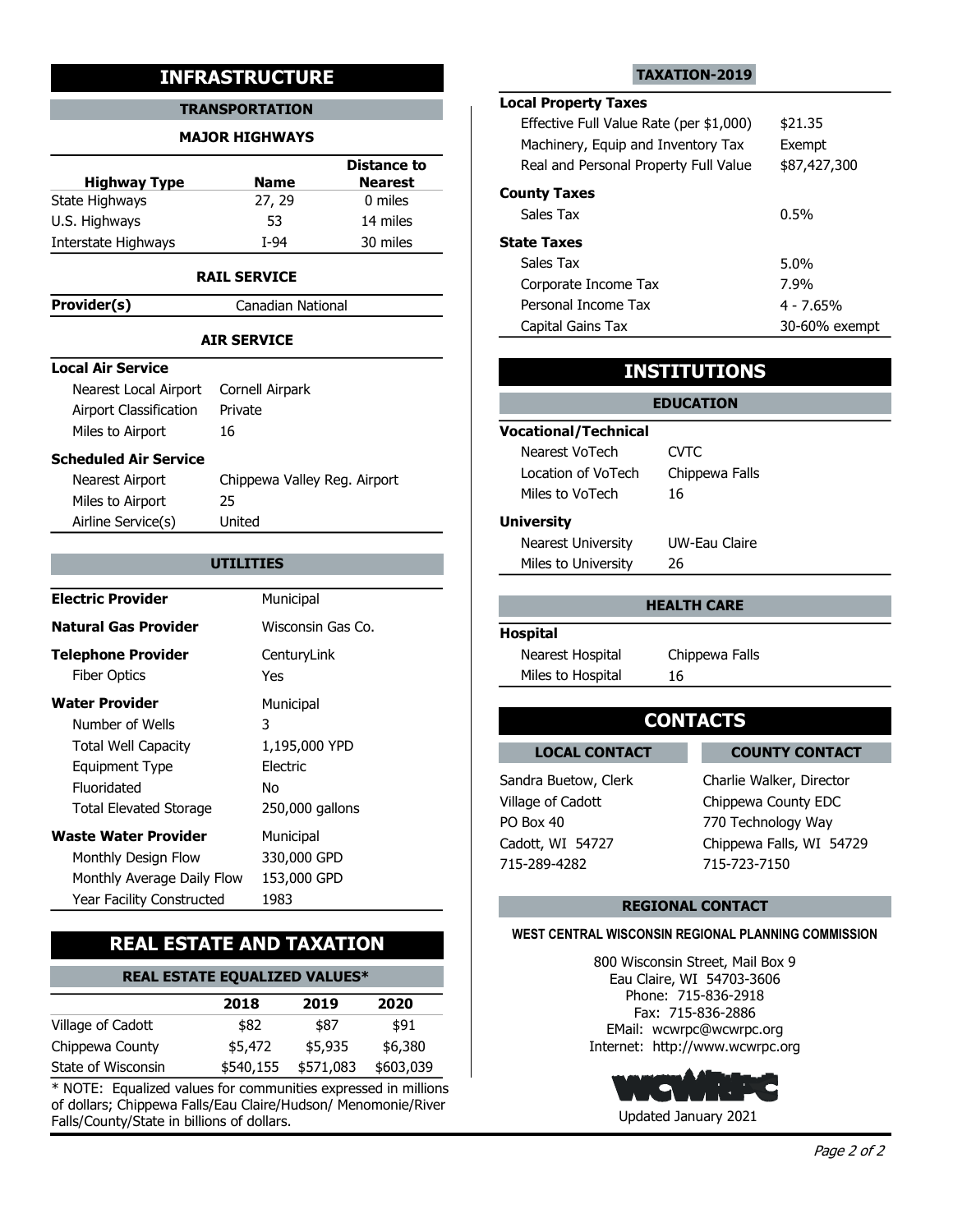#### TRANSPORTATION

#### MAJOR HIGHWAYS

|                     |             | <b>Distance to</b> | Real ar          |
|---------------------|-------------|--------------------|------------------|
| <b>Highway Type</b> | <b>Name</b> | <b>Nearest</b>     |                  |
| State Highways      | 27, 29      | 0 miles            | <b>County Ta</b> |
| U.S. Highways       | 53          | 14 miles           | Sales T          |
| Interstate Highways | T-94        | 30 miles           | <b>State Tax</b> |

#### RAIL SERVICE

**Provider(s)** Canadian National

### Local Air Service

| Nearest Local Airport Cornell Airpark |         |                 |
|---------------------------------------|---------|-----------------|
| Airport Classification                | Private |                 |
| Miles to Airport                      | 16      | <b>Vocation</b> |
| Scheduled Air Service                 |         | Neare           |
|                                       |         | نادمم ا         |

| .                             |                              |                                  |                                                |
|-------------------------------|------------------------------|----------------------------------|------------------------------------------------|
|                               | <b>AIR SERVICE</b>           | Capital Gains Tax                | 30-60% exempt                                  |
| <b>Local Air Service</b>      |                              |                                  | <b>INSTITUTIONS</b>                            |
| Nearest Local Airport         | Cornell Airpark              |                                  |                                                |
| <b>Airport Classification</b> | Private                      |                                  | <b>EDUCATION</b>                               |
| Miles to Airport              | 16                           | <b>Vocational/Technical</b>      |                                                |
| <b>Scheduled Air Service</b>  |                              | Nearest VoTech                   | <b>CVTC</b>                                    |
| Nearest Airport               | Chippewa Valley Reg. Airport | Location of VoTech               | Chippewa Falls                                 |
| Miles to Airport              | 25                           | Miles to VoTech                  | 16                                             |
| Airline Service(s)            | United                       | <b>University</b>                |                                                |
|                               |                              | <b>Nearest University</b>        | <b>UW-Eau Claire</b>                           |
|                               | <b>UTILITIES</b>             | Miles to University              | 26                                             |
| <b>Electric Provider</b>      | Municipal                    |                                  | <b>HEALTH CARE</b>                             |
| <b>Natural Gas Provider</b>   | Wisconsin Gas Co.            | <b>Hospital</b>                  |                                                |
| <b>Telephone Provider</b>     | CenturyLink                  | Nearest Hospital                 | Chippewa Falls                                 |
| <b>Fiber Optics</b>           | <b>Yes</b>                   | Miles to Hospital                | 16                                             |
| <b>Water Provider</b>         | Municipal                    |                                  |                                                |
| Number of Wells               | 3                            |                                  | <b>CONTACTS</b>                                |
| <b>Total Well Capacity</b>    | 1,195,000 YPD                | <b>LOCAL CONTACT</b>             | <b>COUNTY CONTACT</b>                          |
| Equipment Type                | Electric                     |                                  |                                                |
| Fluoridated                   | No                           | Sandra Buetow, Clerk             | Charlie Walker, Director                       |
| <b>Total Elevated Storage</b> | 250,000 gallons              | Village of Cadott                | Chippewa County EDC                            |
| <b>Waste Water Provider</b>   | Municipal                    | PO Box 40                        | 770 Technology Way<br>Chippewa Falls, WI 54729 |
| Monthly Design Flow           | 330,000 GPD                  | Cadott, WI 54727<br>715-289-4282 | 715-723-7150                                   |
| Monthly Average Daily Flow    | 153,000 GPD                  |                                  |                                                |
| Year Facility Constructed     | 1983                         |                                  | <b>REGIONAL CONTACT</b>                        |
|                               |                              |                                  |                                                |

# REAL ESTATE AND TAXATION

| <b>REAL ESTATE EQUALIZED VALUES*</b> | Eau Claire, WI 54703-3606  |
|--------------------------------------|----------------------------|
|                                      | 71502010<br><b>Dhama</b> : |

|                    | 2018    | 2019                | 2020      | Priorie: 715<br>Fax: 715-8 |
|--------------------|---------|---------------------|-----------|----------------------------|
| Village of Cadott  | \$82    | \$87                | \$91      | EMail: wcwrpc              |
| Chippewa County    | \$5,472 | \$5.935             | \$6,380   | Internet: http://w         |
| State of Wisconsin |         | \$540,155 \$571,083 | \$603,039 |                            |

 $*$  NOTE: Equalized values for communities expressed in millions of dollars; Chippewa Falls/Eau Claire/Hudson/ Menomonie/River Falls/County/State in billions of dollars.

#### TAXATION-2019

# **EXECUTE TAXATION-2019**<br> **EXECUTE TRANSPORTATION**<br> **EXECUTE TRANSPORTATION**<br> **EXECUTE TRANSPORTATION**<br> **EXECUTE TRANSPORTATION**<br> **EXECUTE TRANSPORTATION**<br> **EXECUTE TRANSPORTATION**<br> **EXECUTE TRANSPORTATION**<br> **EXECUTE TRANSP Distance to** The Real and Personal Property Full Value 587,427,300 Nearest <u>new County Taxes</u><br>
<u>O miles</u>  $14 \text{ miles}$   $\sqrt{3}$  are  $\sqrt{3}$  and  $\sqrt{3}$  miles 30 miles State Taxes TRANSPORTATION<br>
MAJOR HIGHWAYS<br>
MAJOR HIGHWAYS<br>
Mame<br>
Lighway Type<br>
Mame<br>
Lighways<br>
The Highways<br>
Sales Tax<br>
Highways<br>
Sales Tax<br>
Highways<br>
Sales Tax<br>
Highways<br>
Sales Tax<br>
Sales Tax<br>
Sales Tax<br>
Sales Tax<br>
Sales Tax<br>
Sales Local Property Taxes Machinery, Equip and Inventory Tax Exempt Effective Full Value Rate (per \$1,000) \$21.35 Personal Income Tax 4 - 7.65% Sales Tax **b**  $0.5\%$ Capital Gains Tax 30-60% exempt Corporate Income Tax 7.9% Sales Tax 5.0%

## INSTITUTIONS

|                           | <b>EDUCATION</b> |  |
|---------------------------|------------------|--|
| Vocational/Technical      |                  |  |
| Nearest VoTech            | CVTC             |  |
| Location of VoTech        | Chippewa Falls   |  |
| Miles to VoTech           | 16               |  |
| <b>University</b>         |                  |  |
| <b>Nearest University</b> | UW-Eau Claire    |  |
| Miles to University       | 26               |  |

#### HEALTH CARE

#### Hospital

# **CONTACTS**

**LOCAL CONTACT** LOCAL CONTACT COUNTY CONTACT

Sandra Buetow, Clerk Charlie Walker, Director 715-289-4282 715-723-7150 PO Box 40 770 Technology Way Cadott, WI 54727 Chippewa Falls, WI 54729 Chippewa County EDC

### REGIONAL CONTACT

### WEST CENTRAL WISCONSIN REGIONAL PLANNING COMMISSION

\$6,380 Internet: http://www.wcwrpc.org \$91 EMail: wcwrpc@wcwrpc.org 2020 Fax: 715-836-2886 800 Wisconsin Street, Mail Box 9 Phone: 715-836-2918

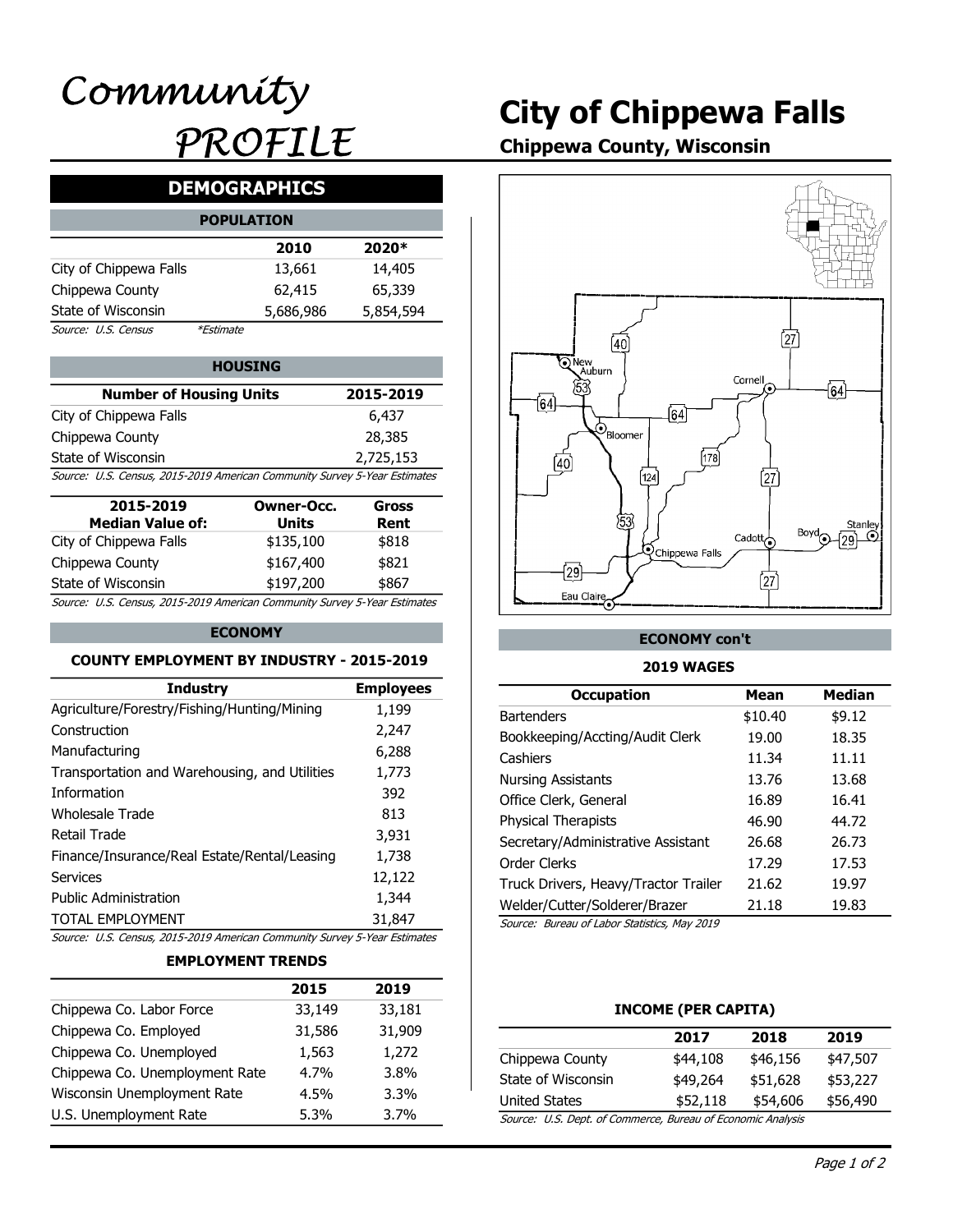# City of Chippewa Falls

Chippewa County, Wisconsin

# DEMOGRAPHICS

|                        | <b>POPULATION</b> |           |           |  |
|------------------------|-------------------|-----------|-----------|--|
|                        |                   | 2010      | 2020*     |  |
| City of Chippewa Falls |                   | 13,661    | 14,405    |  |
| Chippewa County        |                   | 62,415    | 65,339    |  |
| State of Wisconsin     |                   | 5,686,986 | 5,854,594 |  |
| Source: U.S. Census    | <i>*Estimate</i>  |           |           |  |

| <b>Number of Housing Units</b>                                            | 2015-2019 | 53<br>161 |
|---------------------------------------------------------------------------|-----------|-----------|
| City of Chippewa Falls                                                    | 6,437     |           |
| Chippewa County                                                           | 28,385    | 'Bloomer  |
| State of Wisconsin                                                        | 2,725,153 |           |
| Source: U.S. Census, 2015-2019 American Community Survey 5-Year Estimates |           |           |

| 2015-2019                                                                 | Owner-Occ.   | Gross |  |
|---------------------------------------------------------------------------|--------------|-------|--|
| <b>Median Value of:</b>                                                   | <b>Units</b> | Rent  |  |
| City of Chippewa Falls                                                    | \$135,100    | \$818 |  |
| Chippewa County                                                           | \$167,400    | \$821 |  |
| State of Wisconsin                                                        | \$197,200    | \$867 |  |
| Source: U.S. Census, 2015-2019 American Community Survey 5-Year Estimates |              |       |  |

#### ECONOMY

#### COUNTY EMPLOYMENT BY INDUSTRY - 2015-2019

| Chinnows Co. Lahor Force                                                  | 22 140                   | 22 181           | INCOME (DED CADITA)                          |                     |                 |
|---------------------------------------------------------------------------|--------------------------|------------------|----------------------------------------------|---------------------|-----------------|
|                                                                           | 2015                     | 2019             |                                              |                     |                 |
|                                                                           | <b>EMPLOYMENT TRENDS</b> |                  |                                              |                     |                 |
| Source: U.S. Census, 2015-2019 American Community Survey 5-Year Estimates |                          |                  |                                              |                     |                 |
| <b>TOTAL EMPLOYMENT</b>                                                   |                          | 31,847           | Source: Bureau of Labor Statistics, May 2019 |                     |                 |
| <b>Public Administration</b>                                              |                          | 1,344            | Welder/Cutter/Solderer/Brazer                | 21.18               | 19.83           |
| <b>Services</b>                                                           |                          | 12,122           | Truck Drivers, Heavy/Tractor Trailer         | 21.62               | 19.97           |
| Finance/Insurance/Real Estate/Rental/Leasing                              |                          | 1,738            | Order Clerks                                 | 17.29               | 17.53           |
| <b>Retail Trade</b>                                                       |                          | 3,931            | Secretary/Administrative Assistant           | 26.68               | 26.73           |
| <b>Wholesale Trade</b>                                                    |                          | 813              | Physical Therapists                          | 46.90               | 44.72           |
| Information                                                               |                          | 392              | Office Clerk, General                        | 16.89               | 16.41           |
| Transportation and Warehousing, and Utilities                             |                          | 1,773            | <b>Nursing Assistants</b>                    | 13.76               | 13.68           |
| Manufacturing                                                             |                          | 6,288            | Cashiers                                     | 11.34               | 11.11           |
| Construction                                                              |                          | 2,247            | Bookkeeping/Accting/Audit Clerk              | 19.00               | 18.35           |
| Agriculture/Forestry/Fishing/Hunting/Mining                               |                          | 1,199            | <b>Bartenders</b>                            | \$10.40             | \$9.12          |
| <b>Industry</b>                                                           |                          | <b>Employees</b> | <b>Occupation</b>                            | <b>Mean</b>         | <b>Median</b>   |
| <b>COUNTY EMPLOYMENT BY INDUSTRY - 2015-2019</b>                          |                          |                  | <b>2019 WAGES</b>                            |                     |                 |
|                                                                           | <b>ECONOMY</b>           |                  | <b>ECONOMY con't</b>                         |                     |                 |
| Source: U.S. Census, 2015-2019 American Community Survey 5-Year Estimates |                          |                  |                                              |                     |                 |
| State of Wisconsin                                                        | \$197,200                | \$867            | Eau Claire                                   | [27                 |                 |
| Chippewa County                                                           | \$167,400                | \$821            | $\sqrt{29}$                                  |                     |                 |
| City of Chippewa Falls                                                    | \$135,100                | \$818            | <b>Q</b> Chippewa Falls                      | Cadott <sub>o</sub> |                 |
| <b>Median Value of:</b>                                                   | <b>Units</b>             | Rent             | 53                                           |                     | Stanley<br>Bovd |
| 2015-2019                                                                 | <b>Owner-Occ.</b>        | <b>Gross</b>     |                                              |                     |                 |
| Source: U.S. Census, 2015-2019 American Community Survey 5-Year Estimates |                          |                  | [124]                                        | 27)                 |                 |
| State of Wisconsin                                                        |                          | 2,725,153        | 178<br>$\overline{40}$                       |                     |                 |
| Chippewa County                                                           |                          | בטוגרים          |                                              |                     |                 |

#### EMPLOYMENT TRENDS

|                                | 2015    | 2019    |                                              |                       |
|--------------------------------|---------|---------|----------------------------------------------|-----------------------|
| Chippewa Co. Labor Force       | 33,149  | 33,181  |                                              | <b>INCOME (PER C.</b> |
| Chippewa Co. Employed          | 31,586  | 31,909  |                                              | 2017                  |
| Chippewa Co. Unemployed        | 1,563   | 1,272   | Chippewa County                              | \$44,108              |
| Chippewa Co. Unemployment Rate | $4.7\%$ | 3.8%    | State of Wisconsin                           | \$49,264              |
| Wisconsin Unemployment Rate    | $4.5\%$ | $3.3\%$ | <b>United States</b>                         | \$52,118              |
| U.S. Unemployment Rate         | $5.3\%$ | 3.7%    | Source: U.S. Dept. of Commerce, Bureau of Ed |                       |



#### ECONOMY con't

#### 2019 WAGES

| r-Occ.<br>its<br>,100<br>,400<br>,200 | 28,385<br>2,725,153<br>unity Survey 5-Year Estimates<br><b>Gross</b><br>Rent<br>\$818<br>\$821<br>\$867<br>unity Survey 5-Year Estimates | $\mathcal{O}_{\text{Bloomer}}$<br>(40)<br>[124]<br>53<br><b>Q</b> Chippewa Falls<br>$\overline{29}$<br>Eau Claire | [178]    | [27]<br>Boyd<br>Cadott $\overline{\bigodot}$<br>$\int$ 27 $\int$ | Stanley<br>$\odot$<br>(٥٥ |
|---------------------------------------|------------------------------------------------------------------------------------------------------------------------------------------|-------------------------------------------------------------------------------------------------------------------|----------|------------------------------------------------------------------|---------------------------|
|                                       | <b>ISTRY - 2015-2019</b>                                                                                                                 | <b>ECONOMY con't</b><br><b>2019 WAGES</b>                                                                         |          |                                                                  |                           |
|                                       | <b>Employees</b>                                                                                                                         | <b>Occupation</b>                                                                                                 |          | <b>Mean</b>                                                      | <b>Median</b>             |
| ning                                  | 1,199                                                                                                                                    | <b>Bartenders</b>                                                                                                 |          | \$10.40                                                          | \$9.12                    |
|                                       | 2,247                                                                                                                                    | Bookkeeping/Accting/Audit Clerk                                                                                   |          | 19.00                                                            | 18.35                     |
|                                       | 6,288                                                                                                                                    | Cashiers                                                                                                          |          | 11.34                                                            | 11.11                     |
| <b>Itilities</b>                      | 1,773                                                                                                                                    | <b>Nursing Assistants</b>                                                                                         |          | 13.76                                                            | 13.68                     |
|                                       | 392                                                                                                                                      | Office Clerk, General                                                                                             |          | 16.89                                                            | 16.41                     |
|                                       | 813                                                                                                                                      | <b>Physical Therapists</b>                                                                                        |          | 46.90                                                            | 44.72                     |
|                                       | 3,931                                                                                                                                    | Secretary/Administrative Assistant                                                                                |          | 26.68                                                            | 26.73                     |
| easing                                | 1,738                                                                                                                                    | Order Clerks                                                                                                      |          | 17.29                                                            | 17.53                     |
|                                       | 12,122                                                                                                                                   | Truck Drivers, Heavy/Tractor Trailer                                                                              |          | 21.62                                                            | 19.97                     |
|                                       | 1,344                                                                                                                                    | Welder/Cutter/Solderer/Brazer                                                                                     |          | 21.18                                                            | 19.83                     |
|                                       | 31,847                                                                                                                                   | Source: Bureau of Labor Statistics, May 2019                                                                      |          |                                                                  |                           |
|                                       | unity Survey 5-Year Estimates                                                                                                            |                                                                                                                   |          |                                                                  |                           |
| <b>NDS</b>                            |                                                                                                                                          |                                                                                                                   |          |                                                                  |                           |
| 2015                                  | 2019                                                                                                                                     |                                                                                                                   |          |                                                                  |                           |
| 33,149                                | 33,181                                                                                                                                   | <b>INCOME (PER CAPITA)</b>                                                                                        |          |                                                                  |                           |
| 31,586                                | 31,909                                                                                                                                   | 2017                                                                                                              |          | 2018                                                             | 2019                      |
| 1,563                                 | 1,272                                                                                                                                    | Chippewa County                                                                                                   | \$44,108 | \$46,156                                                         | \$47,507                  |
| 4.7%                                  | 3.8%                                                                                                                                     | State of Wisconsin                                                                                                | \$49,264 | \$51,628                                                         | \$53,227                  |
| 4.5%                                  | 3.3%                                                                                                                                     | <b>United States</b>                                                                                              | \$52,118 | \$54,606                                                         | \$56,490                  |
| 5.3%                                  | 3.7%                                                                                                                                     | Source: U.S. Dept. of Commerce, Bureau of Economic Analysis                                                       |          |                                                                  |                           |

#### INCOME (PER CAPITA)

|                                                         | 2017     | 2018     | 2019     |
|---------------------------------------------------------|----------|----------|----------|
| Chippewa County                                         | \$44,108 | \$46,156 | \$47,507 |
| State of Wisconsin                                      | \$49,264 | \$51,628 | \$53,227 |
| United States                                           | \$52,118 | \$54,606 | \$56,490 |
| Course ILC Dont of Commerce Bureau of Esenamis Analysis |          |          |          |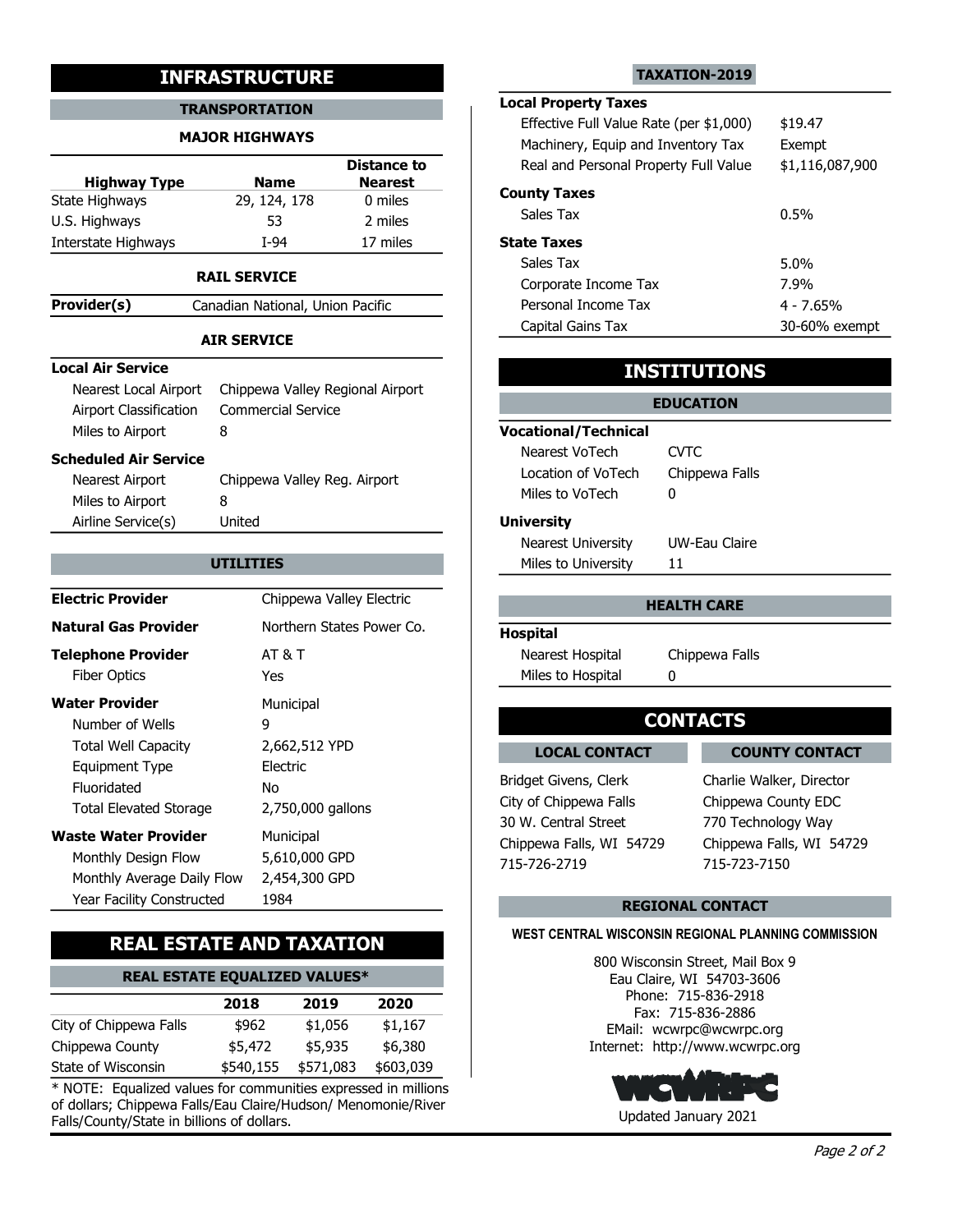#### TRANSPORTATION LOCAL Property Ia

#### MAJOR HIGHWAYS

|                     |              | Real and F     |                    |
|---------------------|--------------|----------------|--------------------|
| <b>Highway Type</b> | <b>Name</b>  | <b>Nearest</b> |                    |
| State Highways      | 29, 124, 178 | 0 miles        | <b>County Taxe</b> |
| U.S. Highways       | 53           | 2 miles        | Sales Tax          |
| Interstate Highways | T-94         | 17 miles       | <b>State Taxes</b> |

#### RAIL SERVICE

**Provider(s)** Canadian National, Union Pacific

#### AIR SERVICE

#### Local Air Service

| Nearest Local Airport  | Chippewa Valley Regional Airport |                      |
|------------------------|----------------------------------|----------------------|
| Airport Classification | <b>Commercial Service</b>        |                      |
| Miles to Airport       |                                  | <b>Vocational/Te</b> |
| Scheduled Air Service  |                                  | Nearest VoTe         |
| Nearest Airport        | Chippewa Valley Reg. Airport     | Location of V        |
|                        |                                  |                      |

| <b>NEGLEST AIL DULL</b> | CHIPPEWA VAILTY REY. All polit |  |
|-------------------------|--------------------------------|--|
| Miles to Airport        |                                |  |
| Airline Service(s)      | United                         |  |
|                         |                                |  |

| .                             | 2010 - 1000 1000 101, OTHOLL I GCILIC |                             |                         |
|-------------------------------|---------------------------------------|-----------------------------|-------------------------|
|                               |                                       | Capital Gains Tax           |                         |
|                               | <b>AIR SERVICE</b>                    |                             |                         |
| <b>Local Air Service</b>      |                                       |                             | <b>INSTITUTIONS</b>     |
| Nearest Local Airport         | Chippewa Valley Regional Airport      |                             | <b>EDUCATION</b>        |
| Airport Classification        | <b>Commercial Service</b>             |                             |                         |
| Miles to Airport<br>8         |                                       | <b>Vocational/Technical</b> |                         |
| <b>Scheduled Air Service</b>  |                                       | Nearest VoTech              | <b>CVTC</b>             |
| Nearest Airport               | Chippewa Valley Reg. Airport          | Location of VoTech          | Chippewa Falls          |
| Miles to Airport<br>8         |                                       | Miles to VoTech             | 0                       |
| Airline Service(s)            | United                                | <b>University</b>           |                         |
|                               |                                       | <b>Nearest University</b>   | <b>UW-Eau Claire</b>    |
|                               | <b>UTILITIES</b>                      | Miles to University         | 11                      |
|                               |                                       |                             |                         |
| <b>Electric Provider</b>      | Chippewa Valley Electric              |                             | <b>HEALTH CARE</b>      |
| <b>Natural Gas Provider</b>   | Northern States Power Co.             | <b>Hospital</b>             |                         |
| <b>Telephone Provider</b>     | <b>AT &amp; T</b>                     | Nearest Hospital            | Chippewa Falls          |
| <b>Fiber Optics</b>           | Yes                                   | Miles to Hospital           | 0                       |
| <b>Water Provider</b>         | Municipal                             |                             |                         |
| Number of Wells               | 9                                     |                             | <b>CONTACTS</b>         |
| <b>Total Well Capacity</b>    | 2,662,512 YPD                         | <b>LOCAL CONTACT</b>        | <b>COUN</b>             |
| <b>Equipment Type</b>         | Electric                              |                             |                         |
| Fluoridated                   | No                                    | Bridget Givens, Clerk       | Charlie Wal             |
| <b>Total Elevated Storage</b> | 2,750,000 gallons                     | City of Chippewa Falls      | Chippewa 0              |
| <b>Waste Water Provider</b>   | Municipal                             | 30 W. Central Street        | 770 Techno              |
| Monthly Design Flow           | 5,610,000 GPD                         | Chippewa Falls, WI 54729    | Chippewa F              |
| Monthly Average Daily Flow    | 2,454,300 GPD                         | 715-726-2719                | 715-723-71              |
| Year Facility Constructed     | 1984                                  |                             |                         |
|                               |                                       |                             | <b>REGIONAL CONTACT</b> |

## REAL ESTATE AND TAXATION

# REAL ESTATE EQUALIZED VALUES\*

|                        | 2018    | 2019                | 2020      | Phone: 715<br>Fax: 715-8 |
|------------------------|---------|---------------------|-----------|--------------------------|
| City of Chippewa Falls | \$962   | \$1,056             | \$1,167   | EMail: wcwrpc            |
| Chippewa County        | \$5,472 | \$5,935             | \$6.380   | Internet: http://w       |
| State of Wisconsin     |         | \$540,155 \$571,083 | \$603,039 |                          |

\* NOTE: Equalized values for communities expressed in millions of dollars; Chippewa Falls/Eau Claire/Hudson/ Menomonie/River Falls/County/State in billions of dollars.

#### TAXATION-2019

# Local Property Taxes

|                                                | <b>INFRASTRUCTURE</b>                                              |                                                 |                                                                        | <b>TAXATION-2019</b>                                                        |                   |
|------------------------------------------------|--------------------------------------------------------------------|-------------------------------------------------|------------------------------------------------------------------------|-----------------------------------------------------------------------------|-------------------|
| <b>TRANSPORTATION</b><br><b>MAJOR HIGHWAYS</b> |                                                                    |                                                 | <b>Local Property Taxes</b><br>Effective Full Value Rate (per \$1,000) |                                                                             | \$19.47<br>Exempt |
| <b>Highway Type</b><br>te Highways             | <b>Name</b><br>29, 124, 178                                        | <b>Distance to</b><br><b>Nearest</b><br>0 miles | <b>County Taxes</b><br>Sales Tax                                       | Machinery, Equip and Inventory Tax<br>Real and Personal Property Full Value |                   |
| . Highways                                     | 53                                                                 | 2 miles                                         |                                                                        |                                                                             | 0.5%              |
| erstate Highways                               | $I-94$                                                             | 17 miles                                        | <b>State Taxes</b>                                                     |                                                                             |                   |
|                                                | <b>RAIL SERVICE</b>                                                |                                                 | Sales Tax<br>Corporate Income Tax                                      |                                                                             | 5.0%<br>7.9%      |
| wider(s)                                       | Canadian National, Union Pacific                                   |                                                 | Personal Income Tax                                                    |                                                                             | $4 - 7.65%$       |
|                                                | <b>AIR SERVICE</b>                                                 |                                                 | Capital Gains Tax                                                      |                                                                             | 30-60% exempt     |
| al Air Service<br>Nearest Local Airport        |                                                                    |                                                 |                                                                        | <b>INSTITUTIONS</b>                                                         |                   |
| Airport Classification<br>Miles to Airport     | Chippewa Valley Regional Airport<br><b>Commercial Service</b><br>8 |                                                 | <b>Vocational/Technical</b>                                            | <b>EDUCATION</b>                                                            |                   |
| eduled Air Service<br>Nearest Airport          | Chippewa Valley Reg. Airport                                       |                                                 | Nearest VoTech<br>Location of VoTech<br>Miles to VoTech                | <b>CVTC</b><br>Chippewa Falls<br>0                                          |                   |
| Miles to Airport<br>Airline Service(s)         | 8<br>United                                                        |                                                 | <b>University</b>                                                      |                                                                             |                   |
|                                                | <b>UTILITIES</b>                                                   |                                                 | Nearest University<br>Miles to University                              | UW-Eau Claire<br>11                                                         |                   |
| ctric Provider                                 |                                                                    | Chippewa Valley Electric                        |                                                                        | <b>HEALTH CARE</b>                                                          |                   |

### INSTITUTIONS

### **UTILITIES Example 12 Miles to University 11 Miles 11** EDUCATION Vocational/Technical Location of VoTech Chippewa Falls Nearest VoTech CVTC Miles to VoTech 0 **University** Nearest University UW-Eau Claire

#### HEALTH CARE

#### Hospital

| Nearest Hospital  | Chippewa Falls |
|-------------------|----------------|
| Miles to Hospital |                |

# **CONTACTS**

#### LOCAL CONTACT LOCAL CONTACT COUNTY CONTACT

Bridget Givens, Clerk Charlie Walker, Director City of Chippewa Falls Chippewa County EDC 30 W. Central Street Chippewa Falls, WI 54729 Chippewa Falls, WI 54729 Chippewa Falls, WI 54729<br>715-726-2719

715-726-2719 715-723-7150 770 Technology Way

#### REGIONAL CONTACT

#### WEST CENTRAL WISCONSIN REGIONAL PLANNING COMMISSION

\$6,380 Internet: http://www.wcwrpc.org \$1,167 EMail: wcwrpc@wcwrpc.org 2020 Fax: 715-836-2886 800 Wisconsin Street, Mail Box 9 Eau Claire, WI 54703-3606 Phone: 715-836-2918

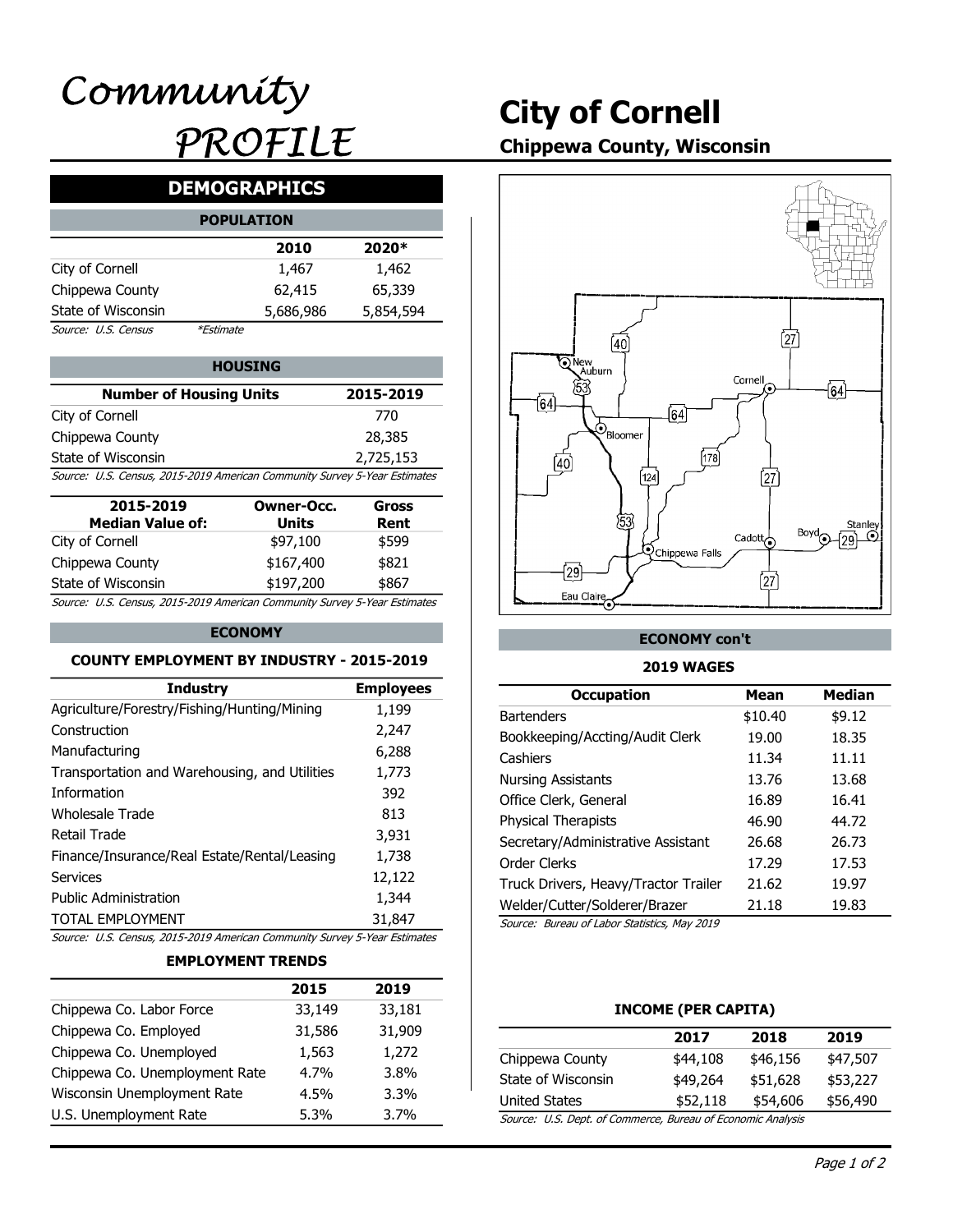# City of Cornell

# Chippewa County, Wisconsin

# DEMOGRAPHICS

|                     | <b>POPULATION</b> |           |           |
|---------------------|-------------------|-----------|-----------|
|                     |                   | 2010      | 2020*     |
| City of Cornell     |                   | 1,467     | 1,462     |
| Chippewa County     |                   | 62,415    | 65,339    |
| State of Wisconsin  |                   | 5,686,986 | 5,854,594 |
| Source: U.S. Census | <i>*Estimate</i>  |           |           |

| <b>HOUSING</b>                                                            |           | ⊶าNew<br>Auburn |  |
|---------------------------------------------------------------------------|-----------|-----------------|--|
| <b>Number of Housing Units</b>                                            | 2015-2019 | 53              |  |
| City of Cornell                                                           | 770       |                 |  |
| Chippewa County                                                           | 28,385    | 'Bloomer        |  |
| State of Wisconsin                                                        | 2,725,153 |                 |  |
| Source: U.S. Census, 2015-2019 American Community Survey 5-Year Estimates |           | 124             |  |

| 2015-2019<br><b>Median Value of:</b>                                      | Owner-Occ.<br>Units | Gross<br>Rent |
|---------------------------------------------------------------------------|---------------------|---------------|
| City of Cornell                                                           | \$97,100            | \$599         |
| Chippewa County                                                           | \$167,400           | \$821         |
| State of Wisconsin                                                        | \$197,200           | \$867         |
| Source: U.S. Census, 2015-2019 American Community Survey 5-Year Estimates |                     |               |

#### ECONOMY

#### COUNTY EMPLOYMENT BY INDUSTRY - 2015-2019

|                                                                           | 2015              | 2019             |                                              |                     |                 |
|---------------------------------------------------------------------------|-------------------|------------------|----------------------------------------------|---------------------|-----------------|
| <b>EMPLOYMENT TRENDS</b>                                                  |                   |                  |                                              |                     |                 |
| Source: U.S. Census, 2015-2019 American Community Survey 5-Year Estimates |                   |                  |                                              |                     |                 |
| <b>TOTAL EMPLOYMENT</b>                                                   |                   | 31,847           | Source: Bureau of Labor Statistics, May 2019 |                     |                 |
| <b>Public Administration</b>                                              |                   | 1,344            | Welder/Cutter/Solderer/Brazer                | 21.18               | 19.83           |
| <b>Services</b>                                                           |                   | 12,122           | Truck Drivers, Heavy/Tractor Trailer         | 21.62               | 19.97           |
| Finance/Insurance/Real Estate/Rental/Leasing                              |                   | 1,738            | Order Clerks                                 | 17.29               | 17.53           |
| <b>Retail Trade</b>                                                       |                   | 3,931            | Secretary/Administrative Assistant           | 26.68               | 26.73           |
| <b>Wholesale Trade</b>                                                    |                   | 813              | Physical Therapists                          | 46.90               | 44.72           |
| Information                                                               |                   | 392              | Office Clerk, General                        | 16.89               | 16.41           |
| Transportation and Warehousing, and Utilities                             |                   | 1,773            | <b>Nursing Assistants</b>                    | 13.76               | 13.68           |
| Manufacturing                                                             |                   | 6,288            | Cashiers                                     | 11.34               | 11.11           |
| Construction                                                              |                   | 2,247            | Bookkeeping/Accting/Audit Clerk              | 19.00               | 18.35           |
| Agriculture/Forestry/Fishing/Hunting/Mining                               |                   | 1,199            | <b>Bartenders</b>                            | \$10.40             | \$9.12          |
| <b>Industry</b>                                                           |                   | <b>Employees</b> | <b>Occupation</b>                            | <b>Mean</b>         | <b>Median</b>   |
| <b>COUNTY EMPLOYMENT BY INDUSTRY - 2015-2019</b>                          |                   |                  | <b>2019 WAGES</b>                            |                     |                 |
|                                                                           | <b>ECONOMY</b>    |                  | <b>ECONOMY con't</b>                         |                     |                 |
| Source: U.S. Census, 2015-2019 American Community Survey 5-Year Estimates |                   |                  |                                              |                     |                 |
| State of Wisconsin                                                        | \$197,200         | \$867            | Eau Claire                                   | [27                 |                 |
| Chippewa County                                                           | \$167,400         | \$821            | $\sqrt{29}$                                  |                     |                 |
| City of Cornell                                                           | \$97,100          | \$599            | <b>Q</b> Chippewa Falls                      | Cadott <sub>o</sub> |                 |
| <b>Median Value of:</b>                                                   | <b>Units</b>      | Rent             | 53                                           |                     | Stanley<br>Bovd |
| 2015-2019                                                                 | <b>Owner-Occ.</b> | <b>Gross</b>     |                                              |                     |                 |
| Source: U.S. Census, 2015-2019 American Community Survey 5-Year Estimates |                   |                  | $\overline{40}$<br>[124]                     | 27)                 |                 |
| State of Wisconsin                                                        |                   | 2,725,153        | 178                                          |                     |                 |

#### EMPLOYMENT TRENDS

|                                | 2015    | 2019    |                                              |                       |
|--------------------------------|---------|---------|----------------------------------------------|-----------------------|
| Chippewa Co. Labor Force       | 33,149  | 33,181  |                                              | <b>INCOME (PER C.</b> |
| Chippewa Co. Employed          | 31,586  | 31,909  |                                              | 2017                  |
| Chippewa Co. Unemployed        | 1,563   | 1,272   | Chippewa County                              | \$44,108              |
| Chippewa Co. Unemployment Rate | $4.7\%$ | 3.8%    | State of Wisconsin                           | \$49,264              |
| Wisconsin Unemployment Rate    | $4.5\%$ | $3.3\%$ | <b>United States</b>                         | \$52,118              |
| U.S. Unemployment Rate         | $5.3\%$ | 3.7%    | Source: U.S. Dept. of Commerce, Bureau of Ed |                       |
|                                |         |         |                                              |                       |



#### ECONOMY con't

#### 2019 WAGES

| r-Occ.<br>its<br>,100<br>,400<br>,200 | 28,385<br>2,725,153<br>unity Survey 5-Year Estimates<br><b>Gross</b><br>Rent<br>\$599<br>\$821<br>\$867<br>unity Survey 5-Year Estimates | $\mathcal{O}_{\text{Bloomer}}$<br>(40)<br>[124]<br>53<br><b>Q</b> Chippewa Falls<br>$\overline{29}$<br>Eau Claire | [178]    | [27]<br>Boyd<br>Cadott <sub>o</sub><br>$\int$ 27 $\int$ | Stanley<br>$\odot$<br>(٥٥ |
|---------------------------------------|------------------------------------------------------------------------------------------------------------------------------------------|-------------------------------------------------------------------------------------------------------------------|----------|---------------------------------------------------------|---------------------------|
|                                       | <b>ISTRY - 2015-2019</b>                                                                                                                 | <b>ECONOMY con't</b><br><b>2019 WAGES</b>                                                                         |          |                                                         |                           |
|                                       | <b>Employees</b>                                                                                                                         | <b>Occupation</b>                                                                                                 |          | <b>Mean</b>                                             | <b>Median</b>             |
| ning                                  | 1,199                                                                                                                                    | <b>Bartenders</b>                                                                                                 |          | \$10.40                                                 | \$9.12                    |
|                                       | 2,247                                                                                                                                    | Bookkeeping/Accting/Audit Clerk                                                                                   |          | 19.00                                                   | 18.35                     |
|                                       | 6,288                                                                                                                                    | Cashiers                                                                                                          |          | 11.34                                                   | 11.11                     |
| <b>Itilities</b>                      | 1,773                                                                                                                                    | <b>Nursing Assistants</b>                                                                                         |          | 13.76                                                   | 13.68                     |
|                                       | 392                                                                                                                                      | Office Clerk, General                                                                                             |          | 16.89                                                   | 16.41                     |
|                                       | 813                                                                                                                                      | <b>Physical Therapists</b>                                                                                        |          | 46.90                                                   | 44.72                     |
|                                       | 3,931                                                                                                                                    | Secretary/Administrative Assistant                                                                                |          | 26.68                                                   | 26.73                     |
| easing                                | 1,738                                                                                                                                    | Order Clerks                                                                                                      |          | 17.29                                                   | 17.53                     |
|                                       | 12,122                                                                                                                                   | Truck Drivers, Heavy/Tractor Trailer                                                                              |          | 21.62                                                   | 19.97                     |
|                                       | 1,344                                                                                                                                    | Welder/Cutter/Solderer/Brazer                                                                                     |          | 21.18                                                   | 19.83                     |
|                                       | 31,847                                                                                                                                   | Source: Bureau of Labor Statistics, May 2019                                                                      |          |                                                         |                           |
|                                       | unity Survey 5-Year Estimates                                                                                                            |                                                                                                                   |          |                                                         |                           |
| <b>NDS</b>                            |                                                                                                                                          |                                                                                                                   |          |                                                         |                           |
| 2015                                  | 2019                                                                                                                                     |                                                                                                                   |          |                                                         |                           |
| 33,149                                | 33,181                                                                                                                                   | <b>INCOME (PER CAPITA)</b>                                                                                        |          |                                                         |                           |
| 31,586                                | 31,909                                                                                                                                   | 2017                                                                                                              |          | 2018                                                    | 2019                      |
| 1,563                                 | 1,272                                                                                                                                    | Chippewa County                                                                                                   | \$44,108 | \$46,156                                                | \$47,507                  |
| 4.7%                                  | 3.8%                                                                                                                                     | State of Wisconsin                                                                                                | \$49,264 | \$51,628                                                | \$53,227                  |
| 4.5%                                  | 3.3%                                                                                                                                     | <b>United States</b>                                                                                              | \$52,118 | \$54,606                                                | \$56,490                  |
| 5.3%                                  | 3.7%                                                                                                                                     | Source: U.S. Dept. of Commerce, Bureau of Economic Analysis                                                       |          |                                                         |                           |

#### INCOME (PER CAPITA)

|                                                         | 2017     | 2018     | 2019     |
|---------------------------------------------------------|----------|----------|----------|
| Chippewa County                                         | \$44,108 | \$46,156 | \$47,507 |
| State of Wisconsin                                      | \$49,264 | \$51,628 | \$53,227 |
| United States                                           | \$52,118 | \$54,606 | \$56,490 |
| Course ILC Dont of Commerce Bureau of Esenamis Analysis |          |          |          |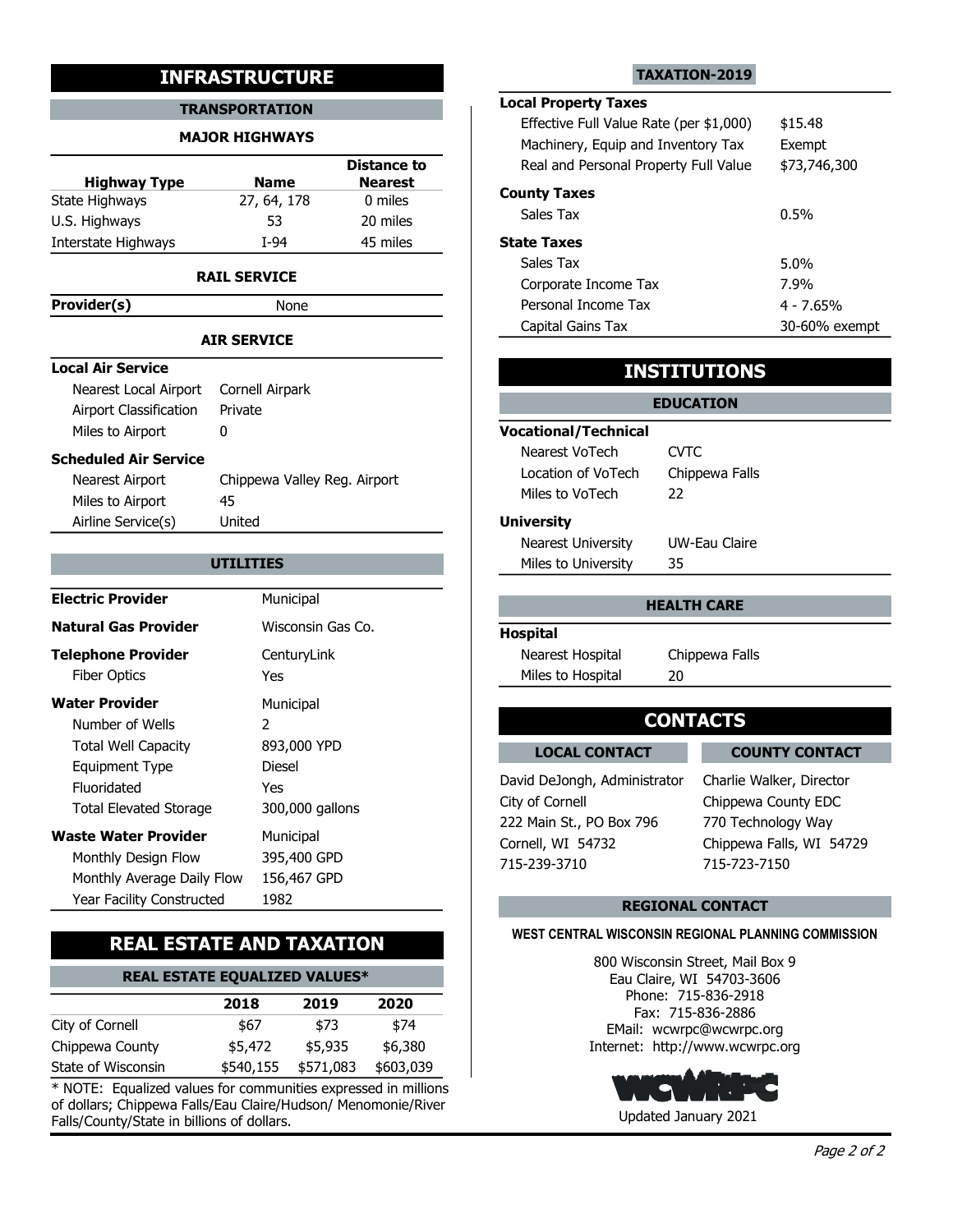#### TRANSPORTATION

#### MAJOR HIGHWAYS

|                     | <b>INFRASTRUCTURE</b> |                    | TAXATION-2019                                                               |
|---------------------|-----------------------|--------------------|-----------------------------------------------------------------------------|
|                     | <b>TRANSPORTATION</b> |                    | <b>Local Property Taxes</b>                                                 |
|                     | <b>MAJOR HIGHWAYS</b> |                    | Effective Full Value Rate (per \$1,000)                                     |
|                     |                       | <b>Distance to</b> | Machinery, Equip and Inventory Tax<br>Real and Personal Property Full Value |
| <b>Highway Type</b> | <b>Name</b>           | <b>Nearest</b>     |                                                                             |
| State Highways      | 27, 64, 178           | 0 miles            | <b>County Taxes</b>                                                         |
| U.S. Highways       | 53                    | 20 miles           | Sales Tax                                                                   |
| Interstate Highways | $I-94$                | 45 miles           | <b>State Taxes</b>                                                          |
|                     | .                     |                    | Sales Tax                                                                   |

#### RAIL SERVICE

Provider(s) None

#### AIR SERVICE

#### Local Air Service

| Nearest Local Airport Cornell Airpark |                              |                 |
|---------------------------------------|------------------------------|-----------------|
| Airport Classification                | Private                      |                 |
| Miles to Airport                      |                              | <b>Vocation</b> |
| Scheduled Air Service                 |                              | Neare           |
| Nearest Airport                       | Chippewa Valley Reg. Airport | Locati          |

| <b>INCALCOL AIL DULL</b> | CHIPPEWA VAIIEY REG. All polit |  |
|--------------------------|--------------------------------|--|
| Miles to Airport         | 45                             |  |
| Airline Service(s)       | United                         |  |

| $\cdots$                                                                                                                    |                                         |                                                                             |                            |                                                                       |  |
|-----------------------------------------------------------------------------------------------------------------------------|-----------------------------------------|-----------------------------------------------------------------------------|----------------------------|-----------------------------------------------------------------------|--|
|                                                                                                                             | <b>AIR SERVICE</b>                      | Capital Gains Tax                                                           |                            |                                                                       |  |
| <b>Local Air Service</b>                                                                                                    |                                         |                                                                             | <b>INSTITUTIONS</b>        |                                                                       |  |
| Nearest Local Airport<br>Airport Classification                                                                             | Cornell Airpark<br>Private              |                                                                             | <b>EDUCATION</b>           |                                                                       |  |
| Miles to Airport                                                                                                            | 0                                       | <b>Vocational/Technical</b>                                                 |                            |                                                                       |  |
| <b>Scheduled Air Service</b>                                                                                                |                                         | Nearest VoTech                                                              | <b>CVTC</b>                |                                                                       |  |
| <b>Nearest Airport</b><br>Chippewa Valley Reg. Airport<br>Miles to Airport<br>45                                            |                                         | Location of VoTech<br>Miles to VoTech                                       | 22                         | Chippewa Falls                                                        |  |
| Airline Service(s)                                                                                                          | United<br><b>UTILITIES</b>              | <b>University</b><br><b>Nearest University</b><br>Miles to University       | <b>UW-Eau Claire</b><br>35 |                                                                       |  |
| <b>Electric Provider</b>                                                                                                    | Municipal                               |                                                                             | <b>HEALTH CARE</b>         |                                                                       |  |
| <b>Natural Gas Provider</b>                                                                                                 | Wisconsin Gas Co.                       | <b>Hospital</b>                                                             |                            |                                                                       |  |
| <b>Telephone Provider</b><br><b>Fiber Optics</b>                                                                            | CenturyLink<br>Yes                      | Nearest Hospital<br>Miles to Hospital                                       | Chippewa Falls<br>20       |                                                                       |  |
| <b>Water Provider</b><br>Number of Wells<br><b>Total Well Capacity</b>                                                      | Municipal<br>2<br>893,000 YPD           | <b>LOCAL CONTACT</b>                                                        | <b>CONTACTS</b>            | <b>COUNTY CONTACT</b>                                                 |  |
| <b>Equipment Type</b><br>Fluoridated<br><b>Total Elevated Storage</b>                                                       | <b>Diesel</b><br>Yes<br>300,000 gallons | David DeJongh, Administrator<br>City of Cornell<br>222 Main St., PO Box 796 |                            | Charlie Walker, Director<br>Chippewa County EDC<br>770 Technology Way |  |
| <b>Waste Water Provider</b><br>Municipal<br>Monthly Design Flow<br>395,400 GPD<br>Monthly Average Daily Flow<br>156,467 GPD |                                         | Cornell, WI 54732<br>715-239-3710                                           |                            | Chippewa Falls, WI 54729<br>715-723-7150                              |  |
| Year Facility Constructed                                                                                                   | 1982                                    |                                                                             | <b>REGIONAL CONTACT</b>    |                                                                       |  |

## REAL ESTATE AND TAXATION

| <b>REAL ESTATE EOUALIZED VALUES*</b> | Eau Claire, WI 54703-3606 |  |
|--------------------------------------|---------------------------|--|
|                                      | 715.025.010<br>DI-----    |  |

|                    | 2018    | 2019                | 2020      | FINIC, 71J<br>Fax: 715-8 |
|--------------------|---------|---------------------|-----------|--------------------------|
| City of Cornell    | \$67    | \$73                | \$74      | EMail: wcwrpc            |
| Chippewa County    | \$5,472 | \$5,935             | \$6,380   | Internet: http://w       |
| State of Wisconsin |         | \$540,155 \$571,083 | \$603,039 |                          |

\* NOTE: Equalized values for communities expressed in millions of dollars; Chippewa Falls/Eau Claire/Hudson/ Menomonie/River Falls/County/State in billions of dollars.

#### TAXATION-2019

# Local Property Taxes Effective Full Value Rate (per \$1,000) \$15.48

|                        | <b>TRANSPORTATION</b>        |                                      | <b>LUCAL FIUPCITY TAXES</b>             |                     |               |
|------------------------|------------------------------|--------------------------------------|-----------------------------------------|---------------------|---------------|
|                        | <b>MAJOR HIGHWAYS</b>        |                                      | Effective Full Value Rate (per \$1,000) |                     | \$15.48       |
|                        |                              |                                      | Machinery, Equip and Inventory Tax      |                     | Exempt        |
| <b>Highway Type</b>    | <b>Name</b>                  | <b>Distance to</b><br><b>Nearest</b> | Real and Personal Property Full Value   |                     | \$73,746,300  |
| te Highways            | 27, 64, 178                  | 0 miles                              | <b>County Taxes</b>                     |                     |               |
| . Highways             | 53                           | 20 miles                             | Sales Tax                               |                     | 0.5%          |
| erstate Highways       | $I-94$                       | 45 miles                             | <b>State Taxes</b>                      |                     |               |
|                        |                              |                                      | Sales Tax                               |                     | 5.0%          |
|                        | <b>RAIL SERVICE</b>          |                                      | Corporate Income Tax                    |                     | 7.9%          |
| vider(s)               | None                         |                                      | Personal Income Tax                     |                     | $4 - 7.65%$   |
|                        |                              |                                      | Capital Gains Tax                       |                     | 30-60% exempt |
|                        | <b>AIR SERVICE</b>           |                                      |                                         |                     |               |
| al Air Service         |                              |                                      |                                         | <b>INSTITUTIONS</b> |               |
| Nearest Local Airport  | Cornell Airpark              |                                      |                                         |                     |               |
| Airport Classification | Private                      |                                      |                                         | <b>EDUCATION</b>    |               |
| Miles to Airport       | 0                            |                                      | <b>Vocational/Technical</b>             |                     |               |
| neduled Air Service    |                              |                                      | Nearest VoTech                          | <b>CVTC</b>         |               |
| Nearest Airport        | Chippewa Valley Reg. Airport |                                      | Location of VoTech                      | Chippewa Falls      |               |
| Miles to Airport       | 45                           |                                      | Miles to VoTech                         | 22                  |               |
| Airline Service(s)     | United                       |                                      | <b>University</b>                       |                     |               |
|                        |                              |                                      | Nearest University                      | UW-Eau Claire       |               |
|                        | <b>UTILITIES</b>             |                                      | Miles to University                     | 35                  |               |
|                        |                              |                                      |                                         |                     |               |
| ctric Provider         | Municipal                    |                                      |                                         | <b>HEALTH CARE</b>  |               |
|                        |                              |                                      |                                         |                     |               |

### INSTITUTIONS

### **UTILITIES Example 20 Miles to University 35 Miles 10 Miles to University 35** EDUCATION Vocational/Technical Location of VoTech Chippewa Falls Nearest VoTech CVTC Miles to VoTech 22 **University** Nearest University UW-Eau Claire

#### HEALTH CARE

#### Hospital

# LOCAL CONTACT COUNTY CONTACT

David DeJongh, Administrator City of Cornell 222 Main St., PO Box 796 Cornell, WI 54732 Chippewa Falls, WI 54729 715-239-3710

715-239-3710 715-723-7150 Charlie Walker, Director Chippewa County EDC 770 Technology Way

#### REGIONAL CONTACT

#### WEST CENTRAL WISCONSIN REGIONAL PLANNING COMMISSION

\$6,380 Internet: http://www.wcwrpc.org \$74 EMail: wcwrpc@wcwrpc.org 2020 Fax: 715-836-2886 800 Wisconsin Street, Mail Box 9 Phone: 715-836-2918

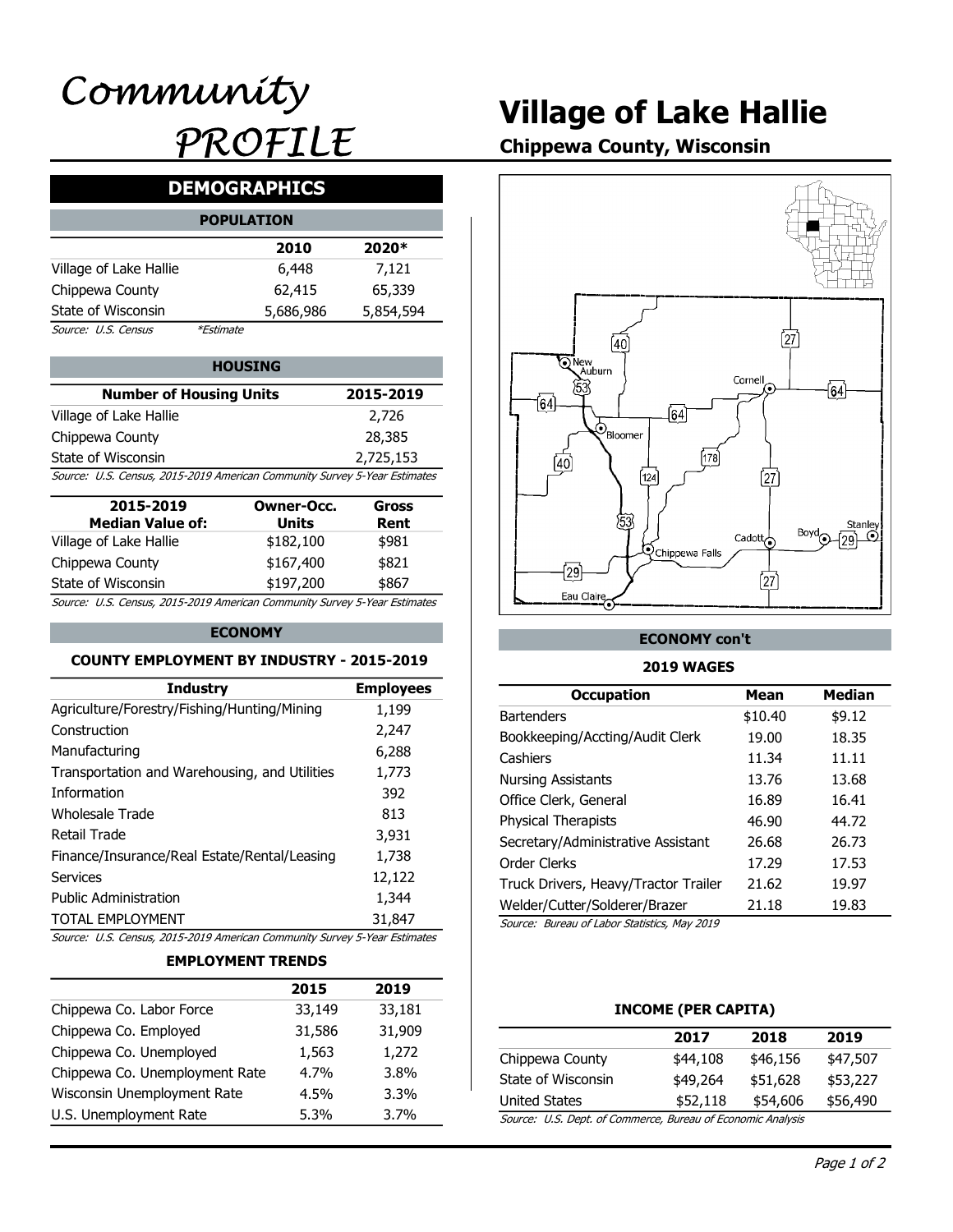# Village of Lake Hallie

Chippewa County, Wisconsin

# DEMOGRAPHICS

|                        | <b>POPULATION</b> |           |           |
|------------------------|-------------------|-----------|-----------|
|                        |                   | 2010      | 2020*     |
| Village of Lake Hallie |                   | 6,448     | 7,121     |
| Chippewa County        |                   | 62,415    | 65,339    |
| State of Wisconsin     |                   | 5,686,986 | 5,854,594 |
| Source: U.S. Census    | <i>*Estimate</i>  |           |           |

|                                                                           |           | .          |
|---------------------------------------------------------------------------|-----------|------------|
| <b>Number of Housing Units</b>                                            | 2015-2019 | '53<br>164 |
| Village of Lake Hallie                                                    | 2,726     |            |
| Chippewa County                                                           | 28,385    | 'Bloomer   |
| State of Wisconsin                                                        | 2,725,153 |            |
| Source: U.S. Census, 2015-2019 American Community Survey 5-Year Estimates |           | [124]      |

| 2015-2019<br><b>Median Value of:</b>                                      | Owner-Occ.<br>Units | Gross<br>Rent |
|---------------------------------------------------------------------------|---------------------|---------------|
| Village of Lake Hallie                                                    | \$182,100           | \$981         |
| Chippewa County                                                           | \$167,400           | \$821         |
| State of Wisconsin                                                        | \$197,200           | \$867         |
| Source: U.S. Census, 2015-2019 American Community Survey 5-Year Estimates |                     |               |

#### ECONOMY

#### COUNTY EMPLOYMENT BY INDUSTRY - 2015-2019

|                                                                                                 | 2015                     | 2019             |                                              |                     |                 |
|-------------------------------------------------------------------------------------------------|--------------------------|------------------|----------------------------------------------|---------------------|-----------------|
|                                                                                                 | <b>EMPLOYMENT TRENDS</b> |                  |                                              |                     |                 |
| Source: U.S. Census, 2015-2019 American Community Survey 5-Year Estimates                       |                          |                  |                                              |                     |                 |
| <b>TOTAL EMPLOYMENT</b>                                                                         |                          | 31,847           | Source: Bureau of Labor Statistics, May 2019 |                     |                 |
| <b>Public Administration</b>                                                                    |                          | 1,344            | Welder/Cutter/Solderer/Brazer                | 21.18               | 19.83           |
| <b>Services</b>                                                                                 |                          | 12,122           | Truck Drivers, Heavy/Tractor Trailer         | 21.62               | 19.97           |
| Finance/Insurance/Real Estate/Rental/Leasing                                                    |                          | 1,738            | Order Clerks                                 | 17.29               | 17.53           |
| <b>Retail Trade</b>                                                                             |                          | 3,931            | Secretary/Administrative Assistant           | 26.68               | 26.73           |
| <b>Wholesale Trade</b>                                                                          |                          | 813              | Physical Therapists                          | 46.90               | 44.72           |
| Information                                                                                     |                          | 392              | Office Clerk, General                        | 16.89               | 16.41           |
| Transportation and Warehousing, and Utilities                                                   |                          | 1,773            | <b>Nursing Assistants</b>                    | 13.76               | 13.68           |
| Manufacturing                                                                                   |                          | 6,288            | Cashiers                                     | 11.34               | 11.11           |
| Construction                                                                                    |                          | 2,247            | Bookkeeping/Accting/Audit Clerk              | 19.00               | 18.35           |
| Agriculture/Forestry/Fishing/Hunting/Mining                                                     |                          | 1,199            | <b>Bartenders</b>                            | \$10.40             | \$9.12          |
| <b>Industry</b>                                                                                 |                          | <b>Employees</b> | <b>Occupation</b>                            | <b>Mean</b>         | <b>Median</b>   |
| <b>COUNTY EMPLOYMENT BY INDUSTRY - 2015-2019</b>                                                |                          |                  | <b>2019 WAGES</b>                            |                     |                 |
|                                                                                                 | <b>ECONOMY</b>           |                  | <b>ECONOMY con't</b>                         |                     |                 |
|                                                                                                 |                          |                  |                                              |                     |                 |
| State of Wisconsin<br>Source: U.S. Census, 2015-2019 American Community Survey 5-Year Estimates | \$197,200                | \$867            | Eau Claire                                   | [27                 |                 |
| Chippewa County                                                                                 | \$167,400                | \$821            | $\sqrt{29}$                                  |                     |                 |
| Village of Lake Hallie                                                                          | \$182,100                | \$981            | <b>Q</b> Chippewa Falls                      | Cadott <sub>o</sub> |                 |
| <b>Median Value of:</b>                                                                         | <b>Units</b>             | Rent             | 53                                           |                     | Stanley<br>Bovd |
| 2015-2019                                                                                       | <b>Owner-Occ.</b>        | <b>Gross</b>     |                                              |                     |                 |
| Source: U.S. Census, 2015-2019 American Community Survey 5-Year Estimates                       |                          |                  | [124]                                        | 27)                 |                 |
| State of Wisconsin                                                                              |                          | 2,725,153        | 178<br>$\overline{40}$                       |                     |                 |
| Chippewa County                                                                                 |                          | בטוגרים          |                                              |                     |                 |

#### EMPLOYMENT TRENDS

|                                | 2015    | 2019    |                                              |                       |
|--------------------------------|---------|---------|----------------------------------------------|-----------------------|
| Chippewa Co. Labor Force       | 33,149  | 33,181  |                                              | <b>INCOME (PER C.</b> |
| Chippewa Co. Employed          | 31,586  | 31,909  |                                              | 2017                  |
| Chippewa Co. Unemployed        | 1,563   | 1,272   | Chippewa County                              | \$44,108              |
| Chippewa Co. Unemployment Rate | $4.7\%$ | 3.8%    | State of Wisconsin                           | \$49,264              |
| Wisconsin Unemployment Rate    | $4.5\%$ | $3.3\%$ | <b>United States</b>                         | \$52,118              |
| U.S. Unemployment Rate         | $5.3\%$ | 3.7%    | Source: U.S. Dept. of Commerce, Bureau of Ed |                       |
|                                |         |         |                                              |                       |



### ECONOMY con't

#### 2019 WAGES

| r-Occ.<br>its<br>,100<br>,400<br>,200 | 28,385<br>2,725,153<br>unity Survey 5-Year Estimates<br><b>Gross</b><br>Rent<br>\$981<br>\$821<br>\$867<br>unity Survey 5-Year Estimates | $\mathcal{O}_{\text{Bloomer}}$<br>(40)<br>[124]<br>53<br><b>Q</b> Chippewa Falls<br>$\overline{29}$<br>Eau Claire | [178]<br>[27]<br>Cadott $\overline{\bigodot}$<br>$\int$ 27 $\int$ | Stanley<br>Boyd<br>$\odot$<br>(٥٥ |
|---------------------------------------|------------------------------------------------------------------------------------------------------------------------------------------|-------------------------------------------------------------------------------------------------------------------|-------------------------------------------------------------------|-----------------------------------|
|                                       | <b>ISTRY - 2015-2019</b>                                                                                                                 | <b>ECONOMY con't</b><br><b>2019 WAGES</b>                                                                         |                                                                   |                                   |
|                                       | <b>Employees</b>                                                                                                                         | <b>Occupation</b>                                                                                                 | <b>Mean</b>                                                       | <b>Median</b>                     |
| ning                                  | 1,199                                                                                                                                    | <b>Bartenders</b>                                                                                                 | \$10.40                                                           | \$9.12                            |
|                                       | 2,247                                                                                                                                    | Bookkeeping/Accting/Audit Clerk                                                                                   | 19.00                                                             | 18.35                             |
|                                       | 6,288                                                                                                                                    | Cashiers                                                                                                          | 11.34                                                             | 11.11                             |
| <b>Itilities</b>                      | 1,773                                                                                                                                    | <b>Nursing Assistants</b>                                                                                         | 13.76                                                             | 13.68                             |
|                                       | 392                                                                                                                                      | Office Clerk, General                                                                                             | 16.89                                                             | 16.41                             |
|                                       | 813                                                                                                                                      | <b>Physical Therapists</b>                                                                                        | 46.90                                                             | 44.72                             |
|                                       | 3,931                                                                                                                                    | Secretary/Administrative Assistant                                                                                | 26.68                                                             | 26.73                             |
| easing                                | 1,738                                                                                                                                    | Order Clerks                                                                                                      | 17.29                                                             | 17.53                             |
|                                       | 12,122                                                                                                                                   | Truck Drivers, Heavy/Tractor Trailer                                                                              | 21.62                                                             | 19.97                             |
|                                       | 1,344                                                                                                                                    | Welder/Cutter/Solderer/Brazer                                                                                     | 21.18                                                             | 19.83                             |
|                                       | 31,847                                                                                                                                   | Source: Bureau of Labor Statistics, May 2019                                                                      |                                                                   |                                   |
|                                       | unity Survey 5-Year Estimates                                                                                                            |                                                                                                                   |                                                                   |                                   |
| <b>NDS</b>                            |                                                                                                                                          |                                                                                                                   |                                                                   |                                   |
| 2015                                  | 2019                                                                                                                                     |                                                                                                                   |                                                                   |                                   |
| 33,149                                | 33,181                                                                                                                                   | <b>INCOME (PER CAPITA)</b>                                                                                        |                                                                   |                                   |
| 31,586                                | 31,909                                                                                                                                   | 2017                                                                                                              | 2018                                                              | 2019                              |
| 1,563                                 | 1,272                                                                                                                                    | Chippewa County<br>\$44,108                                                                                       | \$46,156                                                          | \$47,507                          |
| 4.7%                                  | 3.8%                                                                                                                                     | State of Wisconsin<br>\$49,264                                                                                    | \$51,628                                                          | \$53,227                          |
| 4.5%                                  | 3.3%                                                                                                                                     | <b>United States</b><br>\$52,118                                                                                  | \$54,606                                                          | \$56,490                          |
| 5.3%                                  | 3.7%                                                                                                                                     | Source: U.S. Dept. of Commerce, Bureau of Economic Analysis                                                       |                                                                   |                                   |

#### INCOME (PER CAPITA)

|                                                             | 2017     | 2018     | 2019     |
|-------------------------------------------------------------|----------|----------|----------|
| Chippewa County                                             | \$44,108 | \$46,156 | \$47,507 |
| State of Wisconsin                                          | \$49,264 | \$51,628 | \$53,227 |
| United States                                               | \$52,118 | \$54,606 | \$56,490 |
| Source: U.S. Dept. of Commerce, Bureau of Economic Analysis |          |          |          |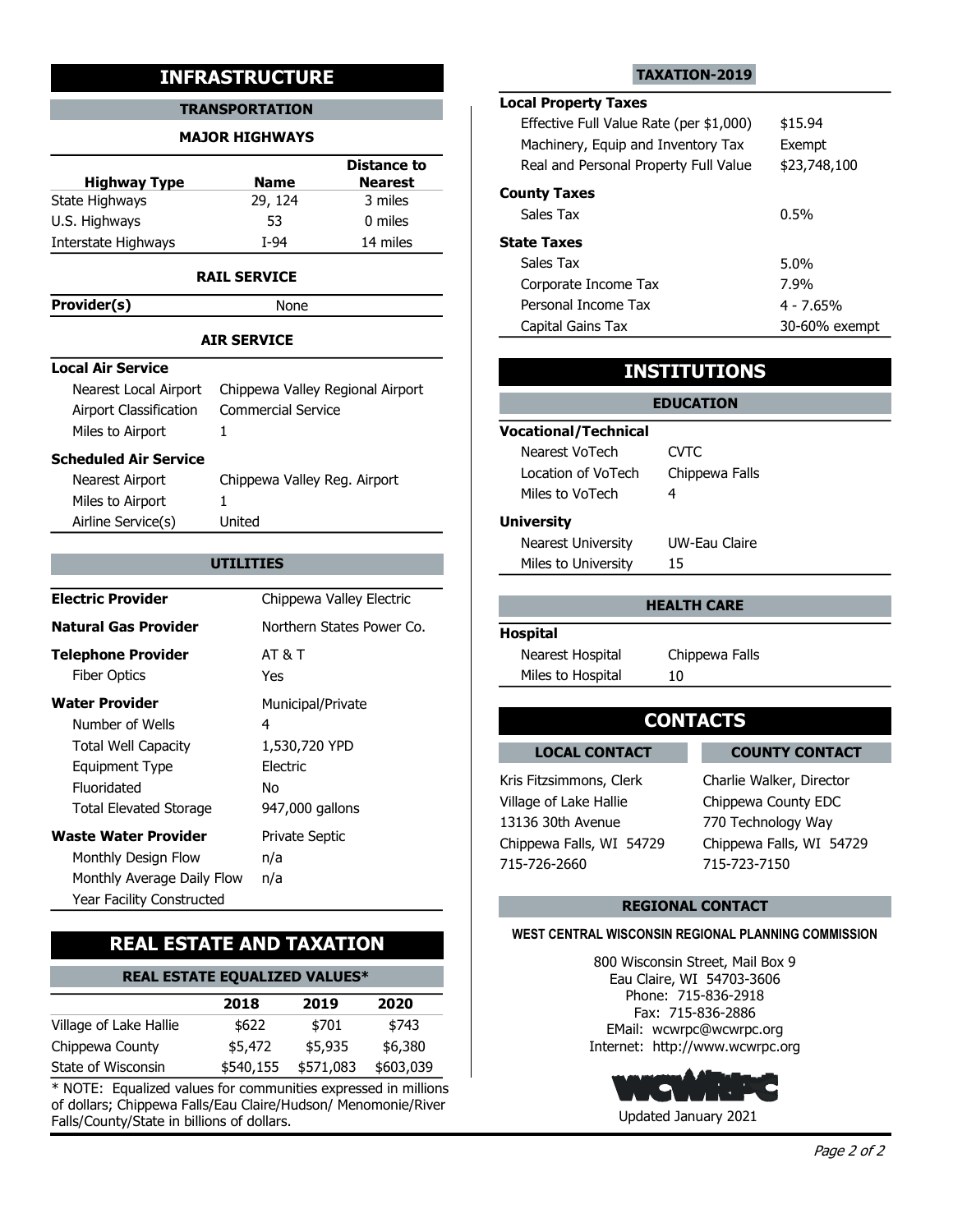#### MAJOR HIGHWAYS

| <b>Highway Type</b> | <b>Name</b> | <b>Distance to</b><br><b>Nearest</b> | Real an          |
|---------------------|-------------|--------------------------------------|------------------|
| State Highways      | 29, 124     | 3 miles                              | <b>County Ta</b> |
| U.S. Highways       | 53          | 0 miles                              | Sales Ta         |
| Interstate Highways | T-94        | 14 miles                             | <b>State Tax</b> |

#### RAIL SERVICE

Provider(s) None

#### AIR SERVICE

#### Local Air Service

|                                            | Nearest Local Airport Chippewa Valley Regional Airport |                      |
|--------------------------------------------|--------------------------------------------------------|----------------------|
| Airport Classification<br>Miles to Airport | Commercial Service                                     | <b>Vocational/Te</b> |
| Scheduled Air Service                      |                                                        | Nearest VoTe         |

| Nearest Airport    | Chippewa Valley Reg. Airport |
|--------------------|------------------------------|
| Miles to Airport   |                              |
| Airline Service(s) | United                       |

| .                                                                                                    |                                                                    |                                                                                                |                                                                                                |
|------------------------------------------------------------------------------------------------------|--------------------------------------------------------------------|------------------------------------------------------------------------------------------------|------------------------------------------------------------------------------------------------|
|                                                                                                      | <b>AIR SERVICE</b>                                                 | Capital Gains Tax                                                                              | 30-60% exempt                                                                                  |
| <b>Local Air Service</b>                                                                             |                                                                    |                                                                                                | <b>INSTITUTIONS</b>                                                                            |
| Nearest Local Airport<br>Airport Classification<br>Miles to Airport                                  | Chippewa Valley Regional Airport<br><b>Commercial Service</b><br>1 | <b>Vocational/Technical</b>                                                                    | <b>EDUCATION</b>                                                                               |
| <b>Scheduled Air Service</b><br>Nearest Airport<br>Miles to Airport<br>Airline Service(s)            | Chippewa Valley Reg. Airport<br>United                             | Nearest VoTech<br>Location of VoTech<br>Miles to VoTech<br><b>University</b>                   | <b>CVTC</b><br>Chippewa Falls<br>4                                                             |
|                                                                                                      | <b>UTILITIES</b>                                                   | <b>Nearest University</b><br>Miles to University                                               | <b>UW-Eau Claire</b><br>15                                                                     |
| <b>Electric Provider</b>                                                                             | Chippewa Valley Electric                                           |                                                                                                | <b>HEALTH CARE</b>                                                                             |
| <b>Natural Gas Provider</b>                                                                          | Northern States Power Co.                                          | <b>Hospital</b>                                                                                |                                                                                                |
| <b>Telephone Provider</b><br><b>Fiber Optics</b>                                                     | <b>AT &amp; T</b><br>Yes                                           | Nearest Hospital<br>Miles to Hospital                                                          | Chippewa Falls<br>10                                                                           |
| <b>Water Provider</b><br>Number of Wells<br><b>Total Well Capacity</b>                               | Municipal/Private<br>4<br>1,530,720 YPD                            |                                                                                                | <b>CONTACTS</b>                                                                                |
| <b>Equipment Type</b><br>Fluoridated<br><b>Total Elevated Storage</b><br><b>Waste Water Provider</b> | Electric<br>No<br>947,000 gallons<br><b>Private Septic</b>         | <b>LOCAL CONTACT</b><br>Kris Fitzsimmons, Clerk<br>Village of Lake Hallie<br>13136 30th Avenue | <b>COUNTY CONTACT</b><br>Charlie Walker, Director<br>Chippewa County EDC<br>770 Technology Way |
| Monthly Design Flow<br>Monthly Average Daily Flow<br>Year Facility Constructed                       | n/a<br>n/a                                                         | Chippewa Falls, WI 54729<br>715-726-2660                                                       | Chippewa Falls, WI 54729<br>715-723-7150                                                       |
|                                                                                                      |                                                                    |                                                                                                | <b>REGIONAL CONTACT</b>                                                                        |

## REAL ESTATE AND TAXATION

| <b>REAL ESTATE EQUALIZED VALUES*</b> | Eau Claire, WI 54703-3606    |
|--------------------------------------|------------------------------|
|                                      | $T \cdot T$ and any $\theta$ |

|                        | 2018      | 2019      | 2020      | -cl' :Phone:<br>Fax: 715-8 |
|------------------------|-----------|-----------|-----------|----------------------------|
| Village of Lake Hallie | \$622     | \$701     | \$743     | EMail: wcwrpc              |
| Chippewa County        | \$5,472   | \$5.935   | \$6.380   | Internet: http://w         |
| State of Wisconsin     | \$540,155 | \$571,083 | \$603,039 |                            |

 $*$  NOTE: Equalized values for communities expressed in millions of dollars; Chippewa Falls/Eau Claire/Hudson/ Menomonie/River Falls/County/State in billions of dollars.

#### TAXATION-2019

### TRANSPORTATION **TRANSPORTATION** Local Property Taxes

|                                                 | <b>INFRASTRUCTURE</b>                          |                                                 |                                                                                                              | <b>TAXATION-2019</b> |                      |
|-------------------------------------------------|------------------------------------------------|-------------------------------------------------|--------------------------------------------------------------------------------------------------------------|----------------------|----------------------|
|                                                 | <b>TRANSPORTATION</b><br><b>MAJOR HIGHWAYS</b> |                                                 | <b>Local Property Taxes</b><br>Effective Full Value Rate (per \$1,000)<br>Machinery, Equip and Inventory Tax |                      | \$15.94<br>Exempt    |
| <b>Highway Type</b><br>te Highways              | <b>Name</b><br>29, 124                         | <b>Distance to</b><br><b>Nearest</b><br>3 miles | Real and Personal Property Full Value<br><b>County Taxes</b><br>Sales Tax                                    |                      | \$23,748,100<br>0.5% |
| . Highways                                      | 53                                             | 0 miles                                         |                                                                                                              |                      |                      |
| erstate Highways                                | I-94                                           | 14 miles                                        | <b>State Taxes</b><br>Sales Tax                                                                              |                      | 5.0%                 |
|                                                 | <b>RAIL SERVICE</b>                            |                                                 | Corporate Income Tax                                                                                         |                      | 7.9%                 |
| wider(s)                                        | None                                           |                                                 | Personal Income Tax                                                                                          |                      | $4 - 7.65%$          |
|                                                 | <b>AIR SERVICE</b>                             |                                                 | Capital Gains Tax                                                                                            |                      | 30-60% exempt        |
| al Air Service                                  |                                                |                                                 |                                                                                                              | <b>INSTITUTIONS</b>  |                      |
| Nearest Local Airport<br>Airport Classification | <b>Commercial Service</b>                      | Chippewa Valley Regional Airport                |                                                                                                              | <b>EDUCATION</b>     |                      |
| Miles to Airport                                | $\mathbf{1}$                                   |                                                 | <b>Vocational/Technical</b><br>Nearest VoTech                                                                | <b>CVTC</b>          |                      |
| eduled Air Service                              |                                                |                                                 | Location of VoTech                                                                                           | Chippewa Falls       |                      |
| Nearest Airport<br>Miles to Airport             | Chippewa Valley Reg. Airport<br>$\mathbf{1}$   |                                                 | Miles to VoTech                                                                                              | 4                    |                      |
| Airline Service(s)                              | United                                         |                                                 | <b>University</b>                                                                                            |                      |                      |
|                                                 |                                                |                                                 | Nearest University                                                                                           | UW-Eau Claire        |                      |
|                                                 | <b>UTILITIES</b>                               |                                                 | Miles to University                                                                                          | 15                   |                      |
| ctric Provider                                  |                                                | Chippewa Valley Electric                        |                                                                                                              | <b>HEALTH CARE</b>   |                      |

## INSTITUTIONS

| <b>Commercial Service</b>    |                             | <b>EDUCATION</b> |
|------------------------------|-----------------------------|------------------|
|                              | <b>Vocational/Technical</b> |                  |
|                              | Nearest VoTech              | <b>CVTC</b>      |
| Chippewa Valley Reg. Airport | Location of VoTech          | Chippewa Falls   |
|                              | Miles to VoTech             |                  |
| United                       | <b>University</b>           |                  |
|                              | <b>Nearest University</b>   | UW-Eau Claire    |
| UTILITIES                    | Miles to University         | 15               |

#### HEALTH CARE

#### Hospital

## LOCAL CONTACT COUNTY CONTACT

Kris Fitzsimmons, Clerk Charlie Walker, Director 715-726-2660 715-723-7150 Village of Lake Hallie Chippewa County EDC 13136 30th Avenue 770 Technology Way Chippewa Falls, WI 54729 Chippewa Falls, WI 54729

### REGIONAL CONTACT

#### WEST CENTRAL WISCONSIN REGIONAL PLANNING COMMISSION

\$6,380 Internet: http://www.wcwrpc.org \$743 EMail: wcwrpc@wcwrpc.org 2020 Fax: 715-836-2886 800 Wisconsin Street, Mail Box 9 Phone: 715-836-2918

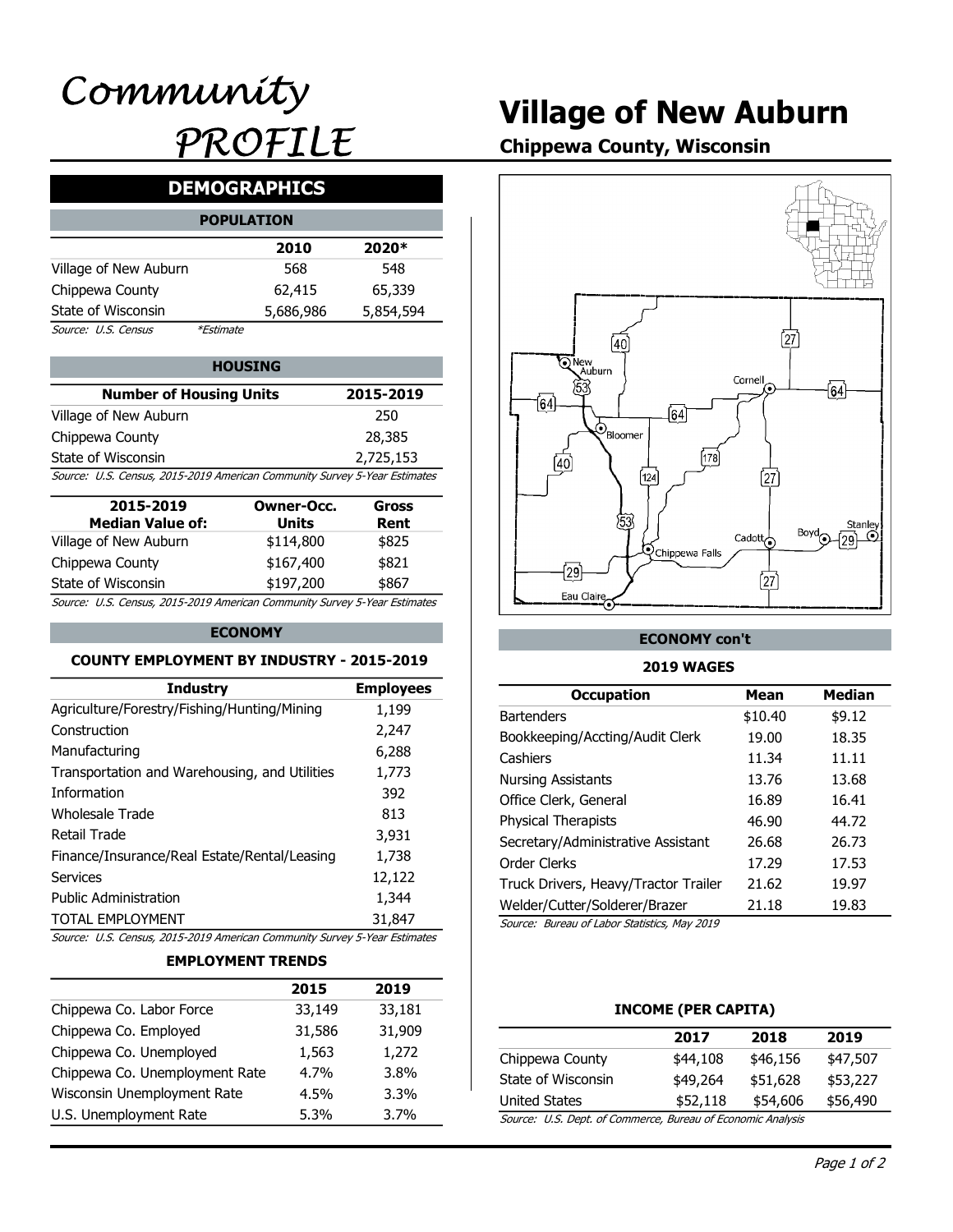# Village of New Auburn

Chippewa County, Wisconsin

# DEMOGRAPHICS

|                       | <b>POPULATION</b> |           |           |
|-----------------------|-------------------|-----------|-----------|
|                       |                   | 2010      | 2020*     |
| Village of New Auburn |                   | 568       | 548       |
| Chippewa County       |                   | 62,415    | 65,339    |
| State of Wisconsin    |                   | 5,686,986 | 5,854,594 |
| Source: U.S. Census   | <i>*Estimate</i>  |           |           |

| <b>Number of Housing Units</b>                                            | 2015-2019 | 53<br>161 |
|---------------------------------------------------------------------------|-----------|-----------|
| Village of New Auburn                                                     | 250       |           |
| Chippewa County                                                           | 28,385    |           |
| State of Wisconsin                                                        | 2,725,153 |           |
| Source: U.S. Census, 2015-2019 American Community Survey 5-Year Estimates |           |           |

| 2015-2019                                                                 | Owner-Occ. | Gross |
|---------------------------------------------------------------------------|------------|-------|
| <b>Median Value of:</b>                                                   | Units      | Rent  |
| Village of New Auburn                                                     | \$114,800  | \$825 |
| Chippewa County                                                           | \$167,400  | \$821 |
| State of Wisconsin                                                        | \$197,200  | \$867 |
| Source: U.S. Census, 2015-2019 American Community Survey 5-Year Estimates |            |       |

#### ECONOMY

#### COUNTY EMPLOYMENT BY INDUSTRY - 2015-2019

| Finance/Insurance/Real Estate/Rental/Leasing<br><b>Services</b><br><b>Public Administration</b><br><b>TOTAL EMPLOYMENT</b><br>Source: U.S. Census, 2015-2019 American Community Survey 5-Year Estimates<br><b>EMPLOYMENT TRENDS</b> | 2015              | 392<br>813<br>3,931<br>1,738<br>12,122<br>1,344<br>31,847<br>2019 | Office Clerk, General<br>Physical Therapists<br>Secretary/Administrative Assistant<br>Order Clerks<br>Truck Drivers, Heavy/Tractor Trailer<br>Welder/Cutter/Solderer/Brazer<br>Source: Bureau of Labor Statistics, May 2019 | 16.89<br>46.90<br>26.68<br>17.29<br>21.62<br>21.18 | 13.68<br>16.41<br>44.72<br>26.73<br>17.53<br>19.97<br>19.83 |
|-------------------------------------------------------------------------------------------------------------------------------------------------------------------------------------------------------------------------------------|-------------------|-------------------------------------------------------------------|-----------------------------------------------------------------------------------------------------------------------------------------------------------------------------------------------------------------------------|----------------------------------------------------|-------------------------------------------------------------|
|                                                                                                                                                                                                                                     |                   |                                                                   |                                                                                                                                                                                                                             |                                                    |                                                             |
|                                                                                                                                                                                                                                     |                   |                                                                   |                                                                                                                                                                                                                             |                                                    |                                                             |
|                                                                                                                                                                                                                                     |                   |                                                                   |                                                                                                                                                                                                                             |                                                    |                                                             |
|                                                                                                                                                                                                                                     |                   |                                                                   |                                                                                                                                                                                                                             |                                                    |                                                             |
|                                                                                                                                                                                                                                     |                   |                                                                   |                                                                                                                                                                                                                             |                                                    |                                                             |
|                                                                                                                                                                                                                                     |                   |                                                                   |                                                                                                                                                                                                                             |                                                    |                                                             |
| <b>Retail Trade</b>                                                                                                                                                                                                                 |                   |                                                                   |                                                                                                                                                                                                                             |                                                    |                                                             |
| <b>Wholesale Trade</b>                                                                                                                                                                                                              |                   |                                                                   |                                                                                                                                                                                                                             |                                                    |                                                             |
| Information                                                                                                                                                                                                                         |                   |                                                                   |                                                                                                                                                                                                                             |                                                    |                                                             |
| Transportation and Warehousing, and Utilities                                                                                                                                                                                       |                   | 1,773                                                             | <b>Nursing Assistants</b>                                                                                                                                                                                                   | 13.76                                              |                                                             |
| Manufacturing                                                                                                                                                                                                                       |                   | 6,288                                                             | Cashiers                                                                                                                                                                                                                    | 11.34                                              | 11.11                                                       |
| Construction                                                                                                                                                                                                                        |                   | 2,247                                                             | Bookkeeping/Accting/Audit Clerk                                                                                                                                                                                             | 19.00                                              | 18.35                                                       |
| Agriculture/Forestry/Fishing/Hunting/Mining                                                                                                                                                                                         |                   | 1,199                                                             | <b>Bartenders</b>                                                                                                                                                                                                           | \$10.40                                            | \$9.12                                                      |
| <b>Industry</b>                                                                                                                                                                                                                     |                   | <b>Employees</b>                                                  | <b>Occupation</b>                                                                                                                                                                                                           | <b>Mean</b>                                        | <b>Median</b>                                               |
| <b>COUNTY EMPLOYMENT BY INDUSTRY - 2015-2019</b>                                                                                                                                                                                    |                   |                                                                   | <b>2019 WAGES</b>                                                                                                                                                                                                           |                                                    |                                                             |
| <b>ECONOMY</b>                                                                                                                                                                                                                      |                   |                                                                   | <b>ECONOMY con't</b>                                                                                                                                                                                                        |                                                    |                                                             |
| Source: U.S. Census, 2015-2019 American Community Survey 5-Year Estimates                                                                                                                                                           |                   |                                                                   |                                                                                                                                                                                                                             |                                                    |                                                             |
| State of Wisconsin                                                                                                                                                                                                                  | \$197,200         | \$867                                                             | Eau Claire                                                                                                                                                                                                                  | [27                                                |                                                             |
| Chippewa County                                                                                                                                                                                                                     | \$167,400         | \$821                                                             | $\sqrt{29}$                                                                                                                                                                                                                 |                                                    |                                                             |
| Village of New Auburn                                                                                                                                                                                                               | \$114,800         | \$825                                                             | <b>Q</b> Chippewa Falls                                                                                                                                                                                                     | Cadott <sub>o</sub>                                |                                                             |
| <b>Median Value of:</b>                                                                                                                                                                                                             | <b>Units</b>      | Rent                                                              | 53                                                                                                                                                                                                                          |                                                    | Stanley<br>Bovd                                             |
| 2015-2019                                                                                                                                                                                                                           | <b>Owner-Occ.</b> | <b>Gross</b>                                                      |                                                                                                                                                                                                                             |                                                    |                                                             |
| Source: U.S. Census, 2015-2019 American Community Survey 5-Year Estimates                                                                                                                                                           |                   |                                                                   | [124]                                                                                                                                                                                                                       | 27)                                                |                                                             |
| State of Wisconsin                                                                                                                                                                                                                  |                   | 2,725,153                                                         | 178<br>$\overline{40}$                                                                                                                                                                                                      |                                                    |                                                             |

#### EMPLOYMENT TRENDS

|                                | 2015    | 2019    |                                              |                       |
|--------------------------------|---------|---------|----------------------------------------------|-----------------------|
| Chippewa Co. Labor Force       | 33,149  | 33,181  |                                              | <b>INCOME (PER C.</b> |
| Chippewa Co. Employed          | 31,586  | 31,909  |                                              | 2017                  |
| Chippewa Co. Unemployed        | 1,563   | 1,272   | Chippewa County                              | \$44,108              |
| Chippewa Co. Unemployment Rate | $4.7\%$ | 3.8%    | State of Wisconsin                           | \$49,264              |
| Wisconsin Unemployment Rate    | $4.5\%$ | $3.3\%$ | <b>United States</b>                         | \$52,118              |
| U.S. Unemployment Rate         | $5.3\%$ | 3.7%    | Source: U.S. Dept. of Commerce, Bureau of Ed |                       |
|                                |         |         |                                              |                       |



#### ECONOMY con't

#### 2019 WAGES

| r-Occ.<br>its<br>,800<br>,400<br>,200 | 28,385<br>2,725,153<br>unity Survey 5-Year Estimates<br><b>Gross</b><br>Rent<br>\$825<br>\$821<br>\$867<br>unity Survey 5-Year Estimates | $\mathcal{O}_{\text{Bloomer}}$<br>(40)<br>[124]<br>53<br><b>Q</b> Chippewa Falls<br>$\overline{29}$<br>Eau Claire | [178]<br>[27]<br>Cadott $\overline{\bigodot}$<br>$\int$ 27 $\int$ | Stanley<br>Boyd<br>$\odot$<br>(٥٥ |
|---------------------------------------|------------------------------------------------------------------------------------------------------------------------------------------|-------------------------------------------------------------------------------------------------------------------|-------------------------------------------------------------------|-----------------------------------|
|                                       | <b>ISTRY - 2015-2019</b>                                                                                                                 | <b>ECONOMY con't</b><br><b>2019 WAGES</b>                                                                         |                                                                   |                                   |
|                                       | <b>Employees</b>                                                                                                                         | <b>Occupation</b>                                                                                                 | <b>Mean</b>                                                       | <b>Median</b>                     |
| ning                                  | 1,199                                                                                                                                    | <b>Bartenders</b>                                                                                                 | \$10.40                                                           | \$9.12                            |
|                                       | 2,247                                                                                                                                    | Bookkeeping/Accting/Audit Clerk                                                                                   | 19.00                                                             | 18.35                             |
|                                       | 6,288                                                                                                                                    | Cashiers                                                                                                          | 11.34                                                             | 11.11                             |
| <b>Itilities</b>                      | 1,773                                                                                                                                    | <b>Nursing Assistants</b>                                                                                         | 13.76                                                             | 13.68                             |
|                                       | 392                                                                                                                                      | Office Clerk, General                                                                                             | 16.89                                                             | 16.41                             |
|                                       | 813                                                                                                                                      | Physical Therapists                                                                                               | 46.90                                                             | 44.72                             |
|                                       | 3,931                                                                                                                                    | Secretary/Administrative Assistant                                                                                | 26.68                                                             | 26.73                             |
| easing                                | 1,738                                                                                                                                    | Order Clerks                                                                                                      | 17.29                                                             | 17.53                             |
|                                       | 12,122                                                                                                                                   | Truck Drivers, Heavy/Tractor Trailer                                                                              | 21.62                                                             | 19.97                             |
|                                       | 1,344                                                                                                                                    | Welder/Cutter/Solderer/Brazer                                                                                     | 21.18                                                             | 19.83                             |
|                                       | 31,847                                                                                                                                   | Source: Bureau of Labor Statistics, May 2019                                                                      |                                                                   |                                   |
|                                       | unity Survey 5-Year Estimates                                                                                                            |                                                                                                                   |                                                                   |                                   |
| <b>NDS</b>                            |                                                                                                                                          |                                                                                                                   |                                                                   |                                   |
| 2015                                  | 2019                                                                                                                                     |                                                                                                                   |                                                                   |                                   |
| 33,149                                | 33,181                                                                                                                                   | <b>INCOME (PER CAPITA)</b>                                                                                        |                                                                   |                                   |
| 31,586                                | 31,909                                                                                                                                   | 2017                                                                                                              | 2018                                                              | 2019                              |
| 1,563                                 | 1,272                                                                                                                                    | Chippewa County                                                                                                   | \$44,108                                                          | \$47,507<br>\$46,156              |
| 4.7%                                  | 3.8%                                                                                                                                     | State of Wisconsin                                                                                                | \$49,264                                                          | \$51,628<br>\$53,227              |
| 4.5%                                  | 3.3%                                                                                                                                     | <b>United States</b>                                                                                              | \$52,118                                                          | \$54,606<br>\$56,490              |
| 5.3%                                  | 3.7%                                                                                                                                     | Source: U.S. Dept. of Commerce, Bureau of Economic Analysis                                                       |                                                                   |                                   |

#### INCOME (PER CAPITA)

|                                                         | 2017     | 2018     | 2019     |
|---------------------------------------------------------|----------|----------|----------|
| Chippewa County                                         | \$44,108 | \$46,156 | \$47,507 |
| State of Wisconsin                                      | \$49,264 | \$51,628 | \$53,227 |
| United States                                           | \$52,118 | \$54,606 | \$56,490 |
| Course ILC Dont of Commerce Bureau of Esenamis Analysis |          |          |          |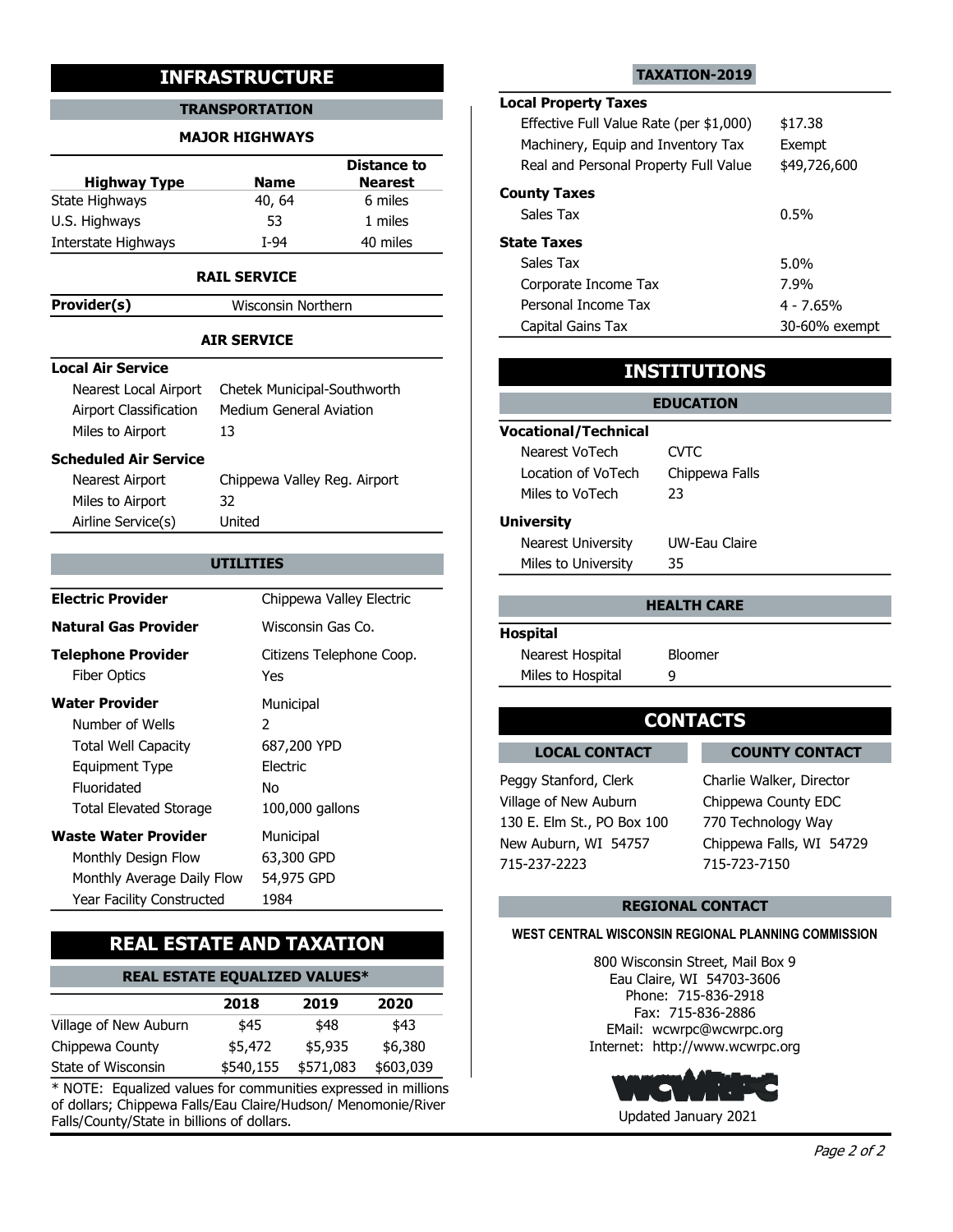#### TRANSPORTATION

#### MAJOR HIGHWAYS

|                     |             | <b>Distance to</b> | Real ar          |
|---------------------|-------------|--------------------|------------------|
| <b>Highway Type</b> | <b>Name</b> | <b>Nearest</b>     |                  |
| State Highways      | 40, 64      | 6 miles            | <b>County Ta</b> |
| U.S. Highways       | 53          | 1 miles            | Sales T          |
| Interstate Highways | T-94        | 40 miles           | <b>State Tax</b> |

#### RAIL SERVICE

**Provider(s)** Wisconsin Northern

### AIR SERVICE

#### Local Air Service

| 1011901(3)                    |                              |                             |                         |
|-------------------------------|------------------------------|-----------------------------|-------------------------|
|                               | <b>AIR SERVICE</b>           | Capital Gains Tax           |                         |
|                               |                              |                             |                         |
| <b>Local Air Service</b>      |                              |                             | <b>INSTITUTIONS</b>     |
| Nearest Local Airport         | Chetek Municipal-Southworth  |                             | <b>EDUCATION</b>        |
| <b>Airport Classification</b> | Medium General Aviation      |                             |                         |
| Miles to Airport              | 13                           | <b>Vocational/Technical</b> |                         |
| <b>Scheduled Air Service</b>  |                              | Nearest VoTech              | <b>CVTC</b>             |
| Nearest Airport               | Chippewa Valley Reg. Airport | Location of VoTech          | Chippewa Falls          |
| Miles to Airport              | 32                           | Miles to VoTech             | 23                      |
| Airline Service(s)            | United                       | <b>University</b>           |                         |
|                               |                              | <b>Nearest University</b>   | UW-Eau Claire           |
|                               | <b>UTILITIES</b>             | Miles to University         | 35                      |
| <b>Electric Provider</b>      |                              |                             |                         |
|                               | Chippewa Valley Electric     |                             | <b>HEALTH CARE</b>      |
| <b>Natural Gas Provider</b>   | Wisconsin Gas Co.            | <b>Hospital</b>             |                         |
| <b>Telephone Provider</b>     | Citizens Telephone Coop.     | Nearest Hospital            | <b>Bloomer</b>          |
| <b>Fiber Optics</b>           | <b>Yes</b>                   | Miles to Hospital           | 9                       |
| <b>Water Provider</b>         | Municipal                    |                             |                         |
| Number of Wells               | $\overline{2}$               |                             | <b>CONTACTS</b>         |
| <b>Total Well Capacity</b>    | 687,200 YPD                  | <b>LOCAL CONTACT</b>        | <b>COUN</b>             |
| <b>Equipment Type</b>         | Electric                     |                             |                         |
| Fluoridated                   | <b>No</b>                    | Peggy Stanford, Clerk       | Charlie Wal             |
| <b>Total Elevated Storage</b> | 100,000 gallons              | Village of New Auburn       | Chippewa 0              |
| <b>Waste Water Provider</b>   | Municipal                    | 130 E. Elm St., PO Box 100  | 770 Techno              |
| Monthly Design Flow           | 63,300 GPD                   | New Auburn, WI 54757        | Chippewa F              |
| Monthly Average Daily Flow    | 54,975 GPD                   | 715-237-2223                | 715-723-71              |
| Year Facility Constructed     | 1984                         |                             | <b>DECIONAL CONTACT</b> |

# REAL ESTATE AND TAXATION

# REAL ESTATE EQUALIZED VALUES\*

|                       | 2018    | 2019                | 2020      | Priorie: 715<br>Fax: 715-8 |
|-----------------------|---------|---------------------|-----------|----------------------------|
| Village of New Auburn | \$45    | \$48                | \$43      | EMail: wcwrpc              |
| Chippewa County       | \$5,472 | \$5.935             | \$6,380   | Internet: http://w         |
| State of Wisconsin    |         | \$540,155 \$571,083 | \$603,039 |                            |

\* NOTE: Equalized values for communities expressed in millions of dollars; Chippewa Falls/Eau Claire/Hudson/ Menomonie/River Falls/County/State in billions of dollars.

#### TAXATION-2019

# Local Property Taxes

|                                                 | <b>INFRASTRUCTURE</b>                                  |                                      |                                                                                                              | <b>TAXATION-2019</b>                    |                     |
|-------------------------------------------------|--------------------------------------------------------|--------------------------------------|--------------------------------------------------------------------------------------------------------------|-----------------------------------------|---------------------|
|                                                 | <b>TRANSPORTATION</b><br><b>MAJOR HIGHWAYS</b>         |                                      | <b>Local Property Taxes</b><br>Effective Full Value Rate (per \$1,000)<br>Machinery, Equip and Inventory Tax |                                         | \$17.38<br>Exempt   |
| <b>Highway Type</b>                             | <b>Name</b>                                            | <b>Distance to</b><br><b>Nearest</b> | Real and Personal Property Full Value<br><b>County Taxes</b>                                                 |                                         | \$49,726,600        |
| te Highways<br>. Highways                       | 40, 64<br>53                                           | 6 miles<br>1 miles                   | Sales Tax                                                                                                    |                                         | 0.5%                |
| erstate Highways                                | $I-94$                                                 | 40 miles                             | <b>State Taxes</b>                                                                                           |                                         |                     |
|                                                 | <b>RAIL SERVICE</b>                                    |                                      | Sales Tax                                                                                                    |                                         | 5.0%                |
| wider(s)                                        | Wisconsin Northern                                     |                                      | Corporate Income Tax<br>Personal Income Tax                                                                  |                                         | 7.9%<br>$4 - 7.65%$ |
|                                                 |                                                        |                                      | Capital Gains Tax                                                                                            |                                         | 30-60% exempt       |
| al Air Service                                  | <b>AIR SERVICE</b>                                     |                                      |                                                                                                              |                                         |                     |
| Nearest Local Airport<br>Airport Classification | Chetek Municipal-Southworth<br>Medium General Aviation |                                      |                                                                                                              | <b>INSTITUTIONS</b><br><b>EDUCATION</b> |                     |
| Miles to Airport                                | 13                                                     |                                      | <b>Vocational/Technical</b><br>Nearest VoTech                                                                | <b>CVTC</b>                             |                     |
| eduled Air Service                              |                                                        |                                      | Location of VoTech                                                                                           | Chippewa Falls                          |                     |
| Nearest Airport<br>Miles to Airport             | Chippewa Valley Reg. Airport<br>32                     |                                      | Miles to VoTech                                                                                              | 23                                      |                     |
| Airline Service(s)                              | United                                                 |                                      | <b>University</b>                                                                                            |                                         |                     |
|                                                 |                                                        |                                      | Nearest University                                                                                           | UW-Eau Claire                           |                     |
|                                                 | <b>UTILITIES</b>                                       |                                      | Miles to University                                                                                          | 35                                      |                     |
| ctric Provider                                  |                                                        | Chippewa Valley Electric             |                                                                                                              | <b>HEALTH CARE</b>                      |                     |

## INSTITUTIONS

### **UTILITIES Example 20 Miles to University 35 Miles 10 Miles to University 35** EDUCATION Vocational/Technical Location of VoTech Chippewa Falls Nearest VoTech CVTC Miles to VoTech 23 **University** Nearest University UW-Eau Claire

#### HEALTH CARE

#### Hospital

| Nearest Hospital  | <b>Bloomer</b> |  |
|-------------------|----------------|--|
| Miles to Hospital |                |  |

LOCAL CONTACT LOCAL CONTACT COUNTY CONTACT

Peggy Stanford, Clerk Charlie Walker, Director 715-237-2223 715-723-7150 Village of New Auburn Chippewa County EDC New Auburn, WI 54757 Chippewa Falls, WI 54729 770 Technology Way

#### REGIONAL CONTACT

#### WEST CENTRAL WISCONSIN REGIONAL PLANNING COMMISSION

\$6,380 Internet: http://www.wcwrpc.org \$43 EMail: wcwrpc@wcwrpc.org 2020 Fax: 715-836-2886 800 Wisconsin Street, Mail Box 9 Eau Claire, WI 54703-3606 Phone: 715-836-2918

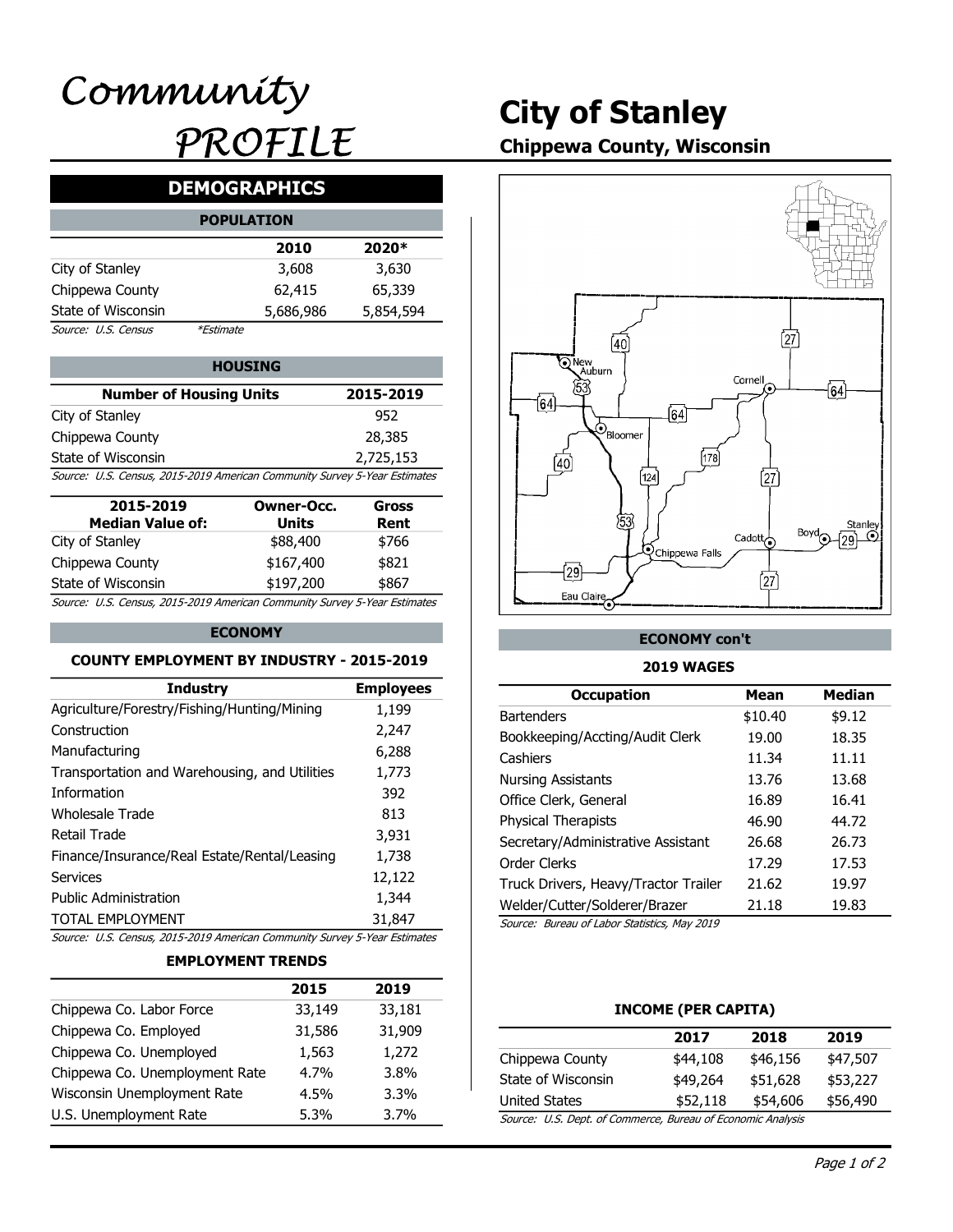# City of Stanley

# Chippewa County, Wisconsin

# DEMOGRAPHICS

|                     | <b>POPULATION</b> |           |           |
|---------------------|-------------------|-----------|-----------|
|                     |                   | 2010      | 2020*     |
| City of Stanley     |                   | 3,608     | 3,630     |
| Chippewa County     |                   | 62,415    | 65,339    |
| State of Wisconsin  |                   | 5,686,986 | 5,854,594 |
| Source: U.S. Census | <i>*Estimate</i>  |           |           |

| <b>HOUSING</b>                                                            |           | ်•) New<br>Auburn |
|---------------------------------------------------------------------------|-----------|-------------------|
| <b>Number of Housing Units</b>                                            | 2015-2019 | '53               |
| City of Stanley                                                           | 952       |                   |
| Chippewa County                                                           | 28,385    | 'Bloomer          |
| State of Wisconsin                                                        | 2,725,153 |                   |
| Source: U.S. Census, 2015-2019 American Community Survey 5-Year Estimates |           | 124               |

| 2015-2019<br><b>Median Value of:</b>                                      | Owner-Occ.<br>Units | Gross<br>Rent |
|---------------------------------------------------------------------------|---------------------|---------------|
| City of Stanley                                                           | \$88,400            | \$766         |
| Chippewa County                                                           | \$167,400           | \$821         |
| State of Wisconsin                                                        | \$197,200           | \$867         |
| Source: U.S. Census, 2015-2019 American Community Survey 5-Year Estimates |                     |               |

#### ECONOMY

#### COUNTY EMPLOYMENT BY INDUSTRY - 2015-2019

|                                                                           | 22 140                           | 22 181           | INCOME (DED CADITA)                          |                     |                 |
|---------------------------------------------------------------------------|----------------------------------|------------------|----------------------------------------------|---------------------|-----------------|
|                                                                           | <b>EMPLOYMENT TRENDS</b><br>2015 | 2019             |                                              |                     |                 |
| Source: U.S. Census, 2015-2019 American Community Survey 5-Year Estimates |                                  |                  |                                              |                     |                 |
| <b>TOTAL EMPLOYMENT</b>                                                   |                                  | 31,847           | Source: Bureau of Labor Statistics, May 2019 |                     |                 |
| <b>Public Administration</b>                                              |                                  | 1,344            | Welder/Cutter/Solderer/Brazer                | 21.18               | 19.83           |
| <b>Services</b>                                                           |                                  | 12,122           | Truck Drivers, Heavy/Tractor Trailer         | 21.62               | 19.97           |
| Finance/Insurance/Real Estate/Rental/Leasing                              |                                  | 1,738            | Order Clerks                                 | 17.29               | 17.53           |
| <b>Retail Trade</b>                                                       |                                  | 3,931            | Secretary/Administrative Assistant           | 26.68               | 26.73           |
| <b>Wholesale Trade</b>                                                    |                                  | 813              | Physical Therapists                          | 46.90               | 44.72           |
| Information                                                               |                                  | 392              | Office Clerk, General                        | 16.89               | 16.41           |
| Transportation and Warehousing, and Utilities                             |                                  | 1,773            | <b>Nursing Assistants</b>                    | 13.76               | 13.68           |
| Manufacturing                                                             |                                  | 6,288            | Cashiers                                     | 11.34               | 11.11           |
| Construction                                                              |                                  | 2,247            | Bookkeeping/Accting/Audit Clerk              | 19.00               | 18.35           |
| Agriculture/Forestry/Fishing/Hunting/Mining                               |                                  | 1,199            | <b>Bartenders</b>                            | \$10.40             | \$9.12          |
| <b>Industry</b>                                                           |                                  | <b>Employees</b> | <b>Occupation</b>                            | <b>Mean</b>         | <b>Median</b>   |
| <b>COUNTY EMPLOYMENT BY INDUSTRY - 2015-2019</b>                          |                                  |                  | <b>2019 WAGES</b>                            |                     |                 |
|                                                                           | <b>ECONOMY</b>                   |                  | <b>ECONOMY con't</b>                         |                     |                 |
| Source: U.S. Census, 2015-2019 American Community Survey 5-Year Estimates |                                  |                  |                                              |                     |                 |
| State of Wisconsin                                                        | \$197,200                        | \$867            | Eau Claire                                   | [27                 |                 |
| Chippewa County                                                           | \$167,400                        | \$821            | $\sqrt{29}$                                  |                     |                 |
| City of Stanley                                                           | \$88,400                         | \$766            | <b>Q</b> Chippewa Falls                      | Cadott <sub>o</sub> |                 |
| <b>Median Value of:</b>                                                   | <b>Units</b>                     | Rent             | 53                                           |                     | Stanley<br>Bovd |
| 2015-2019                                                                 | <b>Owner-Occ.</b>                | <b>Gross</b>     |                                              |                     |                 |
| Source: U.S. Census, 2015-2019 American Community Survey 5-Year Estimates |                                  |                  | [124]                                        | 27)                 |                 |
| State of Wisconsin                                                        |                                  | 2,725,153        | 178<br>$\overline{40}$                       |                     |                 |
| Chippewa County                                                           |                                  | בטוגרים          |                                              |                     |                 |

#### EMPLOYMENT TRENDS

|                                | 2015    | 2019    |                                              |                       |
|--------------------------------|---------|---------|----------------------------------------------|-----------------------|
| Chippewa Co. Labor Force       | 33,149  | 33,181  |                                              | <b>INCOME (PER C.</b> |
| Chippewa Co. Employed          | 31,586  | 31,909  |                                              | 2017                  |
| Chippewa Co. Unemployed        | 1,563   | 1,272   | Chippewa County                              | \$44,108              |
| Chippewa Co. Unemployment Rate | $4.7\%$ | 3.8%    | State of Wisconsin                           | \$49,264              |
| Wisconsin Unemployment Rate    | $4.5\%$ | $3.3\%$ | <b>United States</b>                         | \$52,118              |
| U.S. Unemployment Rate         | $5.3\%$ | 3.7%    | Source: U.S. Dept. of Commerce, Bureau of Ed |                       |
|                                |         |         |                                              |                       |



#### ECONOMY con't

#### 2019 WAGES

| r-Occ.<br>its<br>,400<br>,400<br>,200 | 28,385<br>2,725,153<br>unity Survey 5-Year Estimates<br><b>Gross</b><br>Rent<br>\$766<br>\$821<br>\$867<br>unity Survey 5-Year Estimates | $\mathcal{O}_{\text{Bloomer}}$<br>(40)<br>[124]<br>53<br><b>Q</b> Chippewa Falls<br>$\overline{29}$<br>Eau Claire | [178]<br>[27]<br>Cadott $\overline{\bigodot}$<br>$\int$ 27 $\int$ | Stanley<br>Boyd<br>$\odot$<br>(٥٥ |
|---------------------------------------|------------------------------------------------------------------------------------------------------------------------------------------|-------------------------------------------------------------------------------------------------------------------|-------------------------------------------------------------------|-----------------------------------|
|                                       | <b>ISTRY - 2015-2019</b>                                                                                                                 | <b>ECONOMY con't</b><br><b>2019 WAGES</b>                                                                         |                                                                   |                                   |
|                                       | <b>Employees</b>                                                                                                                         | <b>Occupation</b>                                                                                                 | <b>Mean</b>                                                       | <b>Median</b>                     |
| ning                                  | 1,199                                                                                                                                    | <b>Bartenders</b>                                                                                                 | \$10.40                                                           | \$9.12                            |
|                                       | 2,247                                                                                                                                    | Bookkeeping/Accting/Audit Clerk                                                                                   | 19.00                                                             | 18.35                             |
|                                       | 6,288                                                                                                                                    | Cashiers                                                                                                          | 11.34                                                             | 11.11                             |
| <b>Itilities</b>                      | 1,773                                                                                                                                    | <b>Nursing Assistants</b>                                                                                         | 13.76                                                             | 13.68                             |
|                                       | 392                                                                                                                                      | Office Clerk, General                                                                                             | 16.89                                                             | 16.41                             |
|                                       | 813                                                                                                                                      | Physical Therapists                                                                                               | 46.90                                                             | 44.72                             |
|                                       | 3,931                                                                                                                                    | Secretary/Administrative Assistant                                                                                | 26.68                                                             | 26.73                             |
| easing                                | 1,738                                                                                                                                    | Order Clerks                                                                                                      | 17.29                                                             | 17.53                             |
|                                       | 12,122                                                                                                                                   | Truck Drivers, Heavy/Tractor Trailer                                                                              | 21.62                                                             | 19.97                             |
|                                       | 1,344                                                                                                                                    | Welder/Cutter/Solderer/Brazer                                                                                     | 21.18                                                             | 19.83                             |
|                                       | 31,847                                                                                                                                   | Source: Bureau of Labor Statistics, May 2019                                                                      |                                                                   |                                   |
|                                       | unity Survey 5-Year Estimates                                                                                                            |                                                                                                                   |                                                                   |                                   |
| <b>NDS</b>                            |                                                                                                                                          |                                                                                                                   |                                                                   |                                   |
| 2015                                  | 2019                                                                                                                                     |                                                                                                                   |                                                                   |                                   |
| 33,149                                | 33,181                                                                                                                                   | <b>INCOME (PER CAPITA)</b>                                                                                        |                                                                   |                                   |
| 31,586                                | 31,909                                                                                                                                   | 2017                                                                                                              | 2018                                                              | 2019                              |
| 1,563                                 | 1,272                                                                                                                                    | Chippewa County<br>\$44,108                                                                                       | \$46,156                                                          | \$47,507                          |
| 4.7%                                  | 3.8%                                                                                                                                     | State of Wisconsin<br>\$49,264                                                                                    | \$51,628                                                          | \$53,227                          |
| 4.5%                                  | 3.3%                                                                                                                                     | <b>United States</b>                                                                                              | \$52,118<br>\$54,606                                              | \$56,490                          |
| 5.3%                                  | 3.7%                                                                                                                                     | Source: U.S. Dept. of Commerce, Bureau of Economic Analysis                                                       |                                                                   |                                   |

#### INCOME (PER CAPITA)

|                                                         | 2017     | 2018     | 2019     |
|---------------------------------------------------------|----------|----------|----------|
| Chippewa County                                         | \$44,108 | \$46,156 | \$47,507 |
| State of Wisconsin                                      | \$49,264 | \$51,628 | \$53,227 |
| United States                                           | \$52,118 | \$54,606 | \$56,490 |
| Course ILC Dont of Commerce Bureau of Esenamis Analysis |          |          |          |